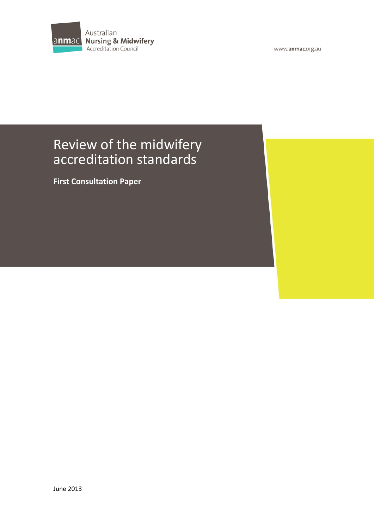

www.anmac.org.au

# Review of the midwifery accreditation standards

**First Consultation Paper**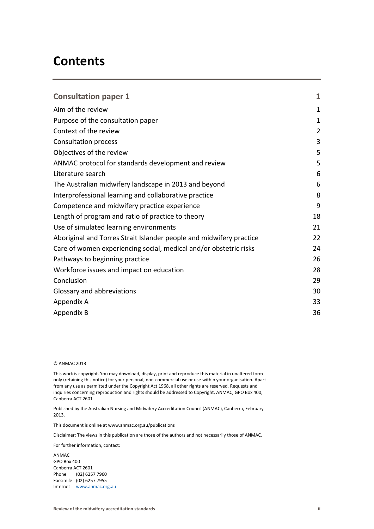# **Contents**

| <b>Consultation paper 1</b>                                         | $\mathbf{1}$   |
|---------------------------------------------------------------------|----------------|
| Aim of the review                                                   | 1              |
| Purpose of the consultation paper                                   | $\mathbf{1}$   |
| Context of the review                                               | $\overline{2}$ |
| Consultation process                                                | 3              |
| Objectives of the review                                            | 5              |
| ANMAC protocol for standards development and review                 | 5              |
| Literature search                                                   | 6              |
| The Australian midwifery landscape in 2013 and beyond               | 6              |
| Interprofessional learning and collaborative practice               | 8              |
| Competence and midwifery practice experience                        | 9              |
| Length of program and ratio of practice to theory                   | 18             |
| Use of simulated learning environments                              | 21             |
| Aboriginal and Torres Strait Islander people and midwifery practice | 22             |
| Care of women experiencing social, medical and/or obstetric risks   | 24             |
| Pathways to beginning practice                                      | 26             |
| Workforce issues and impact on education                            | 28             |
| Conclusion                                                          | 29             |
| Glossary and abbreviations                                          | 30             |
| Appendix A                                                          | 33             |
| Appendix B                                                          | 36             |

#### © ANMAC 2013

This work is copyright. You may download, display, print and reproduce this material in unaltered form only (retaining this notice) for your personal, non-commercial use or use within your organisation. Apart from any use as permitted under the Copyright Act 1968, all other rights are reserved. Requests and inquiries concerning reproduction and rights should be addressed to Copyright, ANMAC, GPO Box 400, Canberra ACT 2601

Published by the Australian Nursing and Midwifery Accreditation Council (ANMAC), Canberra, February 2013.

This document is online at www.anmac.org.au/publications

Disclaimer: The views in this publication are those of the authors and not necessarily those of ANMAC.

For further information, contact:

ANMAC GPO Box 400 Canberra ACT 2601 Phone (02) 6257 7960 Facsimile (02) 6257 7955 Internet [www.anmac.org.au](http://www.anmac.org.au/)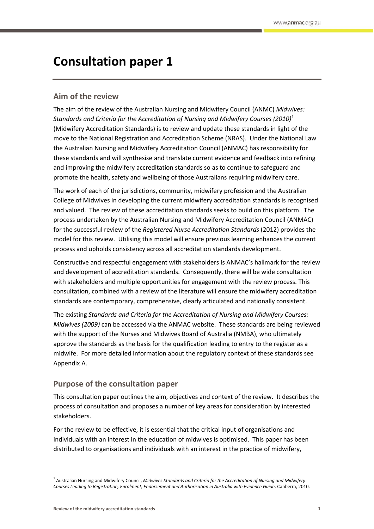# <span id="page-2-0"></span>**Consultation paper 1**

# <span id="page-2-1"></span>**Aim of the review**

The aim of the review of the Australian Nursing and Midwifery Council (ANMC) *Midwives: Standards and Criteria for the Accreditation of Nursing and Midwifery Courses (2010)* [1](#page-2-3) (Midwifery Accreditation Standards) is to review and update these standards in light of the move to the National Registration and Accreditation Scheme (NRAS). Under the National Law the Australian Nursing and Midwifery Accreditation Council (ANMAC) has responsibility for these standards and will synthesise and translate current evidence and feedback into refining and improving the midwifery accreditation standards so as to continue to safeguard and promote the health, safety and wellbeing of those Australians requiring midwifery care.

The work of each of the jurisdictions, community, midwifery profession and the Australian College of Midwives in developing the current midwifery accreditation standards is recognised and valued. The review of these accreditation standards seeks to build on this platform. The process undertaken by the Australian Nursing and Midwifery Accreditation Council (ANMAC) for the successful review of the *Registered Nurse Accreditation Standards* (2012) provides the model for this review. Utilising this model will ensure previous learning enhances the current process and upholds consistency across all accreditation standards development.

Constructive and respectful engagement with stakeholders is ANMAC's hallmark for the review and development of accreditation standards. Consequently, there will be wide consultation with stakeholders and multiple opportunities for engagement with the review process. This consultation, combined with a review of the literature will ensure the midwifery accreditation standards are contemporary, comprehensive, clearly articulated and nationally consistent.

The existing *Standards and Criteria for the Accreditation of Nursing and Midwifery Courses: Midwives (2009)* can be accessed via the ANMAC website. These standards are being reviewed with the support of the Nurses and Midwives Board of Australia (NMBA), who ultimately approve the standards as the basis for the qualification leading to entry to the register as a midwife. For more detailed information about the regulatory context of these standards see Appendix A.

# <span id="page-2-2"></span>**Purpose of the consultation paper**

This consultation paper outlines the aim, objectives and context of the review. It describes the process of consultation and proposes a number of key areas for consideration by interested stakeholders.

For the review to be effective, it is essential that the critical input of organisations and individuals with an interest in the education of midwives is optimised. This paper has been distributed to organisations and individuals with an interest in the practice of midwifery,

<span id="page-2-3"></span><sup>1</sup> Australian Nursing and Midwifery Council, *Midwives Standards and Criteria for the Accreditation of Nursing and Midwifery Courses Leading to Registration, Enrolment, Endorsement and Authorisation in Australia with Evidence Guide*. Canberra, 2010.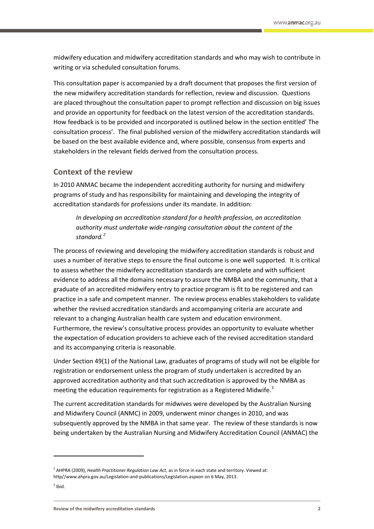midwifery education and midwifery accreditation standards and who may wish to contribute in writing or via scheduled consultation forums.

This consultation paper is accompanied by a draft document that proposes the first version of the new midwifery accreditation standards for reflection, review and discussion. Questions are placed throughout the consultation paper to prompt reflection and discussion on big issues and provide an opportunity for feedback on the latest version of the accreditation standards. How feedback is to be provided and incorporated is outlined below in the section entitled' The consultation process'. The final published version of the midwifery accreditation standards will be based on the best available evidence and, where possible, consensus from experts and stakeholders in the relevant fields derived from the consultation process.

# <span id="page-3-0"></span>**Context of the review**

In 2010 ANMAC became the independent accrediting authority for nursing and midwifery programs of study and has responsibility for maintaining and developing the integrity of accreditation standards for professions under its mandate. In addition:

*In developing an accreditation standard for a health profession, an accreditation authority must undertake wide-ranging consultation about the content of the standard.[2](#page-3-1)*

The process of reviewing and developing the midwifery accreditation standards is robust and uses a number of iterative steps to ensure the final outcome is one well supported. It is critical to assess whether the midwifery accreditation standards are complete and with sufficient evidence to address all the domains necessary to assure the NMBA and the community, that a graduate of an accredited midwifery entry to practice program is fit to be registered and can practice in a safe and competent manner. The review process enables stakeholders to validate whether the revised accreditation standards and accompanying criteria are accurate and relevant to a changing Australian health care system and education environment. Furthermore, the review's consultative process provides an opportunity to evaluate whether the expectation of education providers to achieve each of the revised accreditation standard and its accompanying criteria is reasonable.

Under Section 49(1) of the National Law, graduates of programs of study will not be eligible for registration or endorsement unless the program of study undertaken is accredited by an approved accreditation authority and that such accreditation is approved by the NMBA as meeting the education requirements for registration as a Registered Midwife.<sup>[3](#page-3-2)</sup>

The current accreditation standards for midwives were developed by the Australian Nursing and Midwifery Council (ANMC) in 2009, underwent minor changes in 2010, and was subsequently approved by the NMBA in that same year. The review of these standards is now being undertaken by the Australian Nursing and Midwifery Accreditation Council (ANMAC) the

<span id="page-3-1"></span><sup>2</sup> AHPRA (2009), *Health Practitioner Regulation Law Act*, as in force in each state and territory. Viewed at: http//www.ahpra.gov.au/Legislation-and-publications/Legislation.aspxon on 6 May, 2013.

<span id="page-3-2"></span> $3$  Ibid.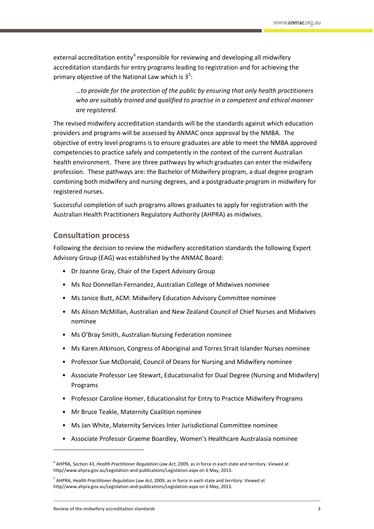external accreditation entity<sup>[4](#page-4-1)</sup> responsible for reviewing and developing all midwifery accreditation standards for entry programs leading to registration and for achieving the primary objective of the National Law which is  $3<sup>5</sup>$  $3<sup>5</sup>$  $3<sup>5</sup>$ :

*…to provide for the protection of the public by ensuring that only health practitioners who are suitably trained and qualified to practise in a competent and ethical manner are registered.*

The revised midwifery accreditation standards will be the standards against which education providers and programs will be assessed by ANMAC once approval by the NMBA. The objective of entry level programs is to ensure graduates are able to meet the NMBA approved competencies to practice safely and competently in the context of the current Australian health environment. There are three pathways by which graduates can enter the midwifery profession. These pathways are: the Bachelor of Midwifery program, a dual degree program combining both midwifery and nursing degrees, and a postgraduate program in midwifery for registered nurses.

Successful completion of such programs allows graduates to apply for registration with the Australian Health Practitioners Regulatory Authority (AHPRA) as midwives.

#### <span id="page-4-0"></span>**Consultation process**

Following the decision to review the midwifery accreditation standards the following Expert Advisory Group (EAG) was established by the ANMAC Board:

- Dr Joanne Gray, Chair of the Expert Advisory Group
- Ms Roz Donnellan-Fernandez, Australian College of Midwives nominee
- Ms Janice Butt, ACM: Midwifery Education Advisory Committee nominee
- Ms Alison McMillan, Australian and New Zealand Council of Chief Nurses and Midwives nominee
- Ms O'Bray Smith, Australian Nursing Federation nominee
- Ms Karen Atkinson, Congress of Aboriginal and Torres Strait Islander Nurses nominee
- Professor Sue McDonald, Council of Deans for Nursing and Midwifery nominee
- Associate Professor Lee Stewart, Educationalist for Dual Degree (Nursing and Midwifery) Programs
- Professor Caroline Homer, Educationalist for Entry to Practice Midwifery Programs
- Mr Bruce Teakle, Maternity Coalition nominee
- Ms Jan White, Maternity Services Inter Jurisdictional Committee nominee
- Associate Professor Graeme Boardley, Women's Healthcare Australasia nominee

 $\overline{\phantom{a}}$ 

<span id="page-4-1"></span><sup>4</sup> AHPRA, Section 43, *Health Practitioner Regulation Law Act*, 2009, as in force in each state and territory. Viewed at http//www.ahpra.gov.au/Legislation-and-publications/Legislation.aspx on 6 May, 2013.

<span id="page-4-2"></span><sup>5</sup> AHPRA, *Health Practitioner Regulation Law Act*, 2009, as in force in each state and territory. Viewed at http//www.ahpra.gov.au/Legislation-and-publications/Legislation.aspx on 6 May, 2013.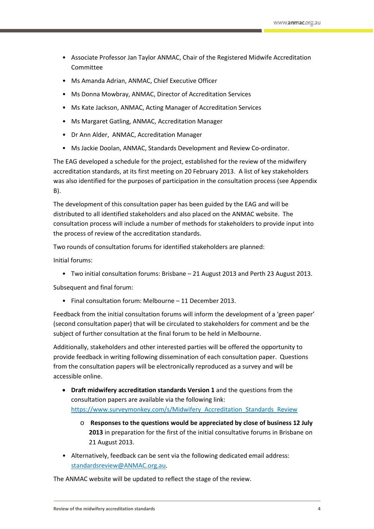- Associate Professor Jan Taylor ANMAC, Chair of the Registered Midwife Accreditation Committee
- Ms Amanda Adrian, ANMAC, Chief Executive Officer
- Ms Donna Mowbray, ANMAC, Director of Accreditation Services
- Ms Kate Jackson, ANMAC, Acting Manager of Accreditation Services
- Ms Margaret Gatling, ANMAC, Accreditation Manager
- Dr Ann Alder, ANMAC, Accreditation Manager
- Ms Jackie Doolan, ANMAC, Standards Development and Review Co-ordinator.

The EAG developed a schedule for the project, established for the review of the midwifery accreditation standards, at its first meeting on 20 February 2013. A list of key stakeholders was also identified for the purposes of participation in the consultation process (see Appendix B).

The development of this consultation paper has been guided by the EAG and will be distributed to all identified stakeholders and also placed on the ANMAC website. The consultation process will include a number of methods for stakeholders to provide input into the process of review of the accreditation standards.

Two rounds of consultation forums for identified stakeholders are planned:

Initial forums:

• Two initial consultation forums: Brisbane – 21 August 2013 and Perth 23 August 2013.

Subsequent and final forum:

• Final consultation forum: Melbourne – 11 December 2013.

Feedback from the initial consultation forums will inform the development of a 'green paper' (second consultation paper) that will be circulated to stakeholders for comment and be the subject of further consultation at the final forum to be held in Melbourne.

Additionally, stakeholders and other interested parties will be offered the opportunity to provide feedback in writing following dissemination of each consultation paper. Questions from the consultation papers will be electronically reproduced as a survey and will be accessible online.

- **Draft midwifery accreditation standards Version 1** and the questions from the consultation papers are available via the following link: https://www.surveymonkey.com/s/Midwifery Accreditation Standards Review
	- o **Responses to the questions would be appreciated by close of business 12 July 2013** in preparation for the first of the initial consultative forums in Brisbane on 21 August 2013.
- Alternatively, feedback can be sent via the following dedicated email address: standardsreview@ANMAC.org.au.

The [ANMAC website](http://anmac.org.au/) will be updated to reflect the stage of the review.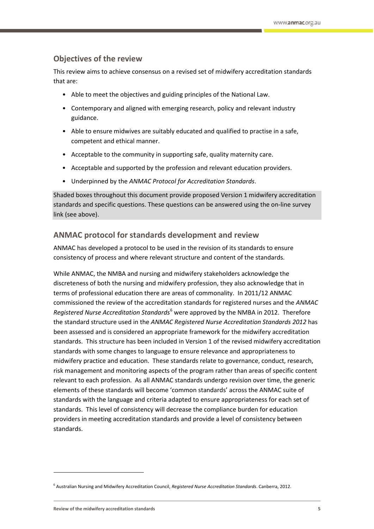# <span id="page-6-0"></span>**Objectives of the review**

This review aims to achieve consensus on a revised set of midwifery accreditation standards that are:

- Able to meet the objectives and guiding principles of the National Law.
- Contemporary and aligned with emerging research, policy and relevant industry guidance.
- Able to ensure midwives are suitably educated and qualified to practise in a safe, competent and ethical manner.
- Acceptable to the community in supporting safe, quality maternity care.
- Acceptable and supported by the profession and relevant education providers.
- Underpinned by the *ANMAC Protocol for Accreditation Standards*.

Shaded boxes throughout this document provide proposed Version 1 midwifery accreditation standards and specific questions. These questions can be answered using the on-line survey link (see above).

# <span id="page-6-1"></span>**ANMAC protocol for standards development and review**

ANMAC has developed a protocol to be used in the revision of its standards to ensure consistency of process and where relevant structure and content of the standards.

While ANMAC, the NMBA and nursing and midwifery stakeholders acknowledge the discreteness of both the nursing and midwifery profession, they also acknowledge that in terms of professional education there are areas of commonality. In 2011/12 ANMAC commissioned the review of the accreditation standards for registered nurses and the *ANMAC Registered Nurse Accreditation Standards*[6](#page-6-2) were approved by the NMBA in 2012. Therefore the standard structure used in the *ANMAC Registered Nurse Accreditation Standards 2012* has been assessed and is considered an appropriate framework for the midwifery accreditation standards. This structure has been included in Version 1 of the revised midwifery accreditation standards with some changes to language to ensure relevance and appropriateness to midwifery practice and education. These standards relate to governance, conduct, research, risk management and monitoring aspects of the program rather than areas of specific content relevant to each profession. As all ANMAC standards undergo revision over time, the generic elements of these standards will become 'common standards' across the ANMAC suite of standards with the language and criteria adapted to ensure appropriateness for each set of standards. This level of consistency will decrease the compliance burden for education providers in meeting accreditation standards and provide a level of consistency between standards.

 $\overline{\phantom{a}}$ 

<span id="page-6-2"></span><sup>6</sup> Australian Nursing and Midwifery Accreditation Council, *Registered Nurse Accreditation Standards*. Canberra, 2012.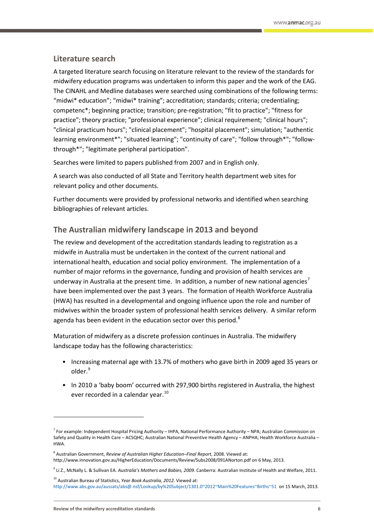### <span id="page-7-0"></span>**Literature search**

A targeted literature search focusing on literature relevant to the review of the standards for midwifery education programs was undertaken to inform this paper and the work of the EAG. The CINAHL and Medline databases were searched using combinations of the following terms: "midwi\* education"; "midwi\* training"; accreditation; standards; criteria; credentialing; competenc\*; beginning practice; transition; pre-registration; "fit to practice"; "fitness for practice"; theory practice; "professional experience"; clinical requirement; "clinical hours"; "clinical practicum hours"; "clinical placement"; "hospital placement"; simulation; "authentic learning environment\*"; "situated learning"; "continuity of care"; "follow through\*"; "followthrough\*"; "legitimate peripheral participation".

Searches were limited to papers published from 2007 and in English only.

A search was also conducted of all State and Territory health department web sites for relevant policy and other documents.

Further documents were provided by professional networks and identified when searching bibliographies of relevant articles.

# <span id="page-7-1"></span>**The Australian midwifery landscape in 2013 and beyond**

The review and development of the accreditation standards leading to registration as a midwife in Australia must be undertaken in the context of the current national and international health, education and social policy environment. The implementation of a number of major reforms in the governance, funding and provision of health services are underway in Australia at the present time. In addition, a number of new national agencies<sup>[7](#page-7-2)</sup> have been implemented over the past 3 years. The formation of Health Workforce Australia (HWA) has resulted in a developmental and ongoing influence upon the role and number of midwives within the broader system of professional health services delivery. A similar reform agenda has been evident in the education sector over this period.<sup>[8](#page-7-3)</sup>

Maturation of midwifery as a discrete profession continues in Australia. The midwifery landscape today has the following characteristics:

- Increasing maternal age with 13.7% of mothers who gave birth in 2009 aged 35 years or older.<sup>[9](#page-7-4)</sup>
- In 2010 a 'baby boom' occurred with 297,900 births registered in Australia, the highest ever recorded in a calendar year.<sup>[10](#page-7-5)</sup>

<span id="page-7-2"></span><sup>7</sup> For example: Independent Hospital Pricing Authority – IHPA, National Performance Authority – NPA; Australian Commission on Safety and Quality in Health Care – ACSQHC; Australian National Preventive Health Agency – ANPHA; Health Workforce Australia – HWA.

<span id="page-7-3"></span><sup>8</sup> Australian Government, *Review of Australian Higher Education–Final Report*, 2008. Viewed at: http://www.innovation.gov.au/HigherEducation/Documents/Review/Subs2008/091ANorton.pdf on 6 May, 2013.

<span id="page-7-4"></span><sup>9</sup> Li Z., McNally L. & Sullivan EA. *Australia's Mothers and Babies, 2009*. Canberra: Australian Institute of Health and Welfare, 2011.

<span id="page-7-5"></span><sup>10</sup> Australian Bureau of Statistics, *Year Book Australia, 2012.* Viewed at: [http://www.abs.gov.au/aussats/abs@.nsf/Lookup/by%20Subject/1301.0~2012~Main%20Features~Births~51](http://www.abs.gov.au/aussats/abs@.nsf/Lookup/by%20Subject/1301.0%7E2012%7EMain%20Features%7EBirths%7E51) on 15 March, 2013.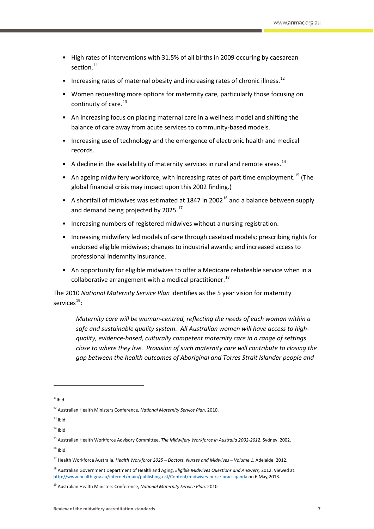- High rates of interventions with 31.5% of all births in 2009 occuring by caesarean section.<sup>[11](#page-8-0)</sup>
- $\bullet$  Increasing rates of maternal obesity and increasing rates of chronic illness.<sup>[12](#page-8-1)</sup>
- Women requesting more options for maternity care, particularly those focusing on continuity of care.<sup>[13](#page-8-2)</sup>
- An increasing focus on placing maternal care in a wellness model and shifting the balance of care away from acute services to community-based models.
- Increasing use of technology and the emergence of electronic health and medical records.
- $\bullet$  A decline in the availability of maternity services in rural and remote areas.<sup>[14](#page-8-3)</sup>
- An ageing midwifery workforce, with increasing rates of part time employment.<sup>[15](#page-8-4)</sup> (The global financial crisis may impact upon this 2002 finding.)
- A shortfall of midwives was estimated at 1847 in 2002<sup>[16](#page-8-5)</sup> and a balance between supply and demand being projected by 2025.<sup>[17](#page-8-6)</sup>
- Increasing numbers of registered midwives without a nursing registration.
- Increasing midwifery led models of care through caseload models; prescribing rights for endorsed eligible midwives; changes to industrial awards; and increased access to professional indemnity insurance.
- An opportunity for eligible midwives to offer a Medicare rebateable service when in a collaborative arrangement with a medical practitioner.<sup>[18](#page-8-7)</sup>

The 2010 *National Maternity Service Plan* identifies as the 5 year vision for maternity services $^{19}$  $^{19}$  $^{19}$ :

*Maternity care will be woman-centred, reflecting the needs of each woman within a safe and sustainable quality system. All Australian women will have access to highquality, evidence-based, culturally competent maternity care in a range of settings close to where they live. Provision of such maternity care will contribute to closing the gap between the health outcomes of Aboriginal and Torres Strait Islander people and* 

1

<span id="page-8-0"></span> $11$ Ibid.

<span id="page-8-1"></span><sup>12</sup> Australian Health Ministers Conference, *National Maternity Service Plan*. 2010.

<span id="page-8-2"></span> $13$  Ibid.

<span id="page-8-3"></span> $14$  Ibid.

<span id="page-8-4"></span><sup>15</sup> Australian Health Workforce Advisory Committee, *The Midwifery Workforce in Australia 2002-2012*. Sydney, 2002.

<span id="page-8-5"></span> $16$  Ibid.

<span id="page-8-6"></span><sup>17</sup> Health Workforce Australia, *Health Workforce 2025 – Doctors, Nurses and Midwives – Volume 1*. Adelaide, 2012.

<span id="page-8-7"></span><sup>18</sup> Australian Government Department of Health and Aging, *Eligible Midwives Questions and Answers,* 2012. Viewed at: <http://www.health.gov.au/internet/main/publishing.nsf/Content/midwives-nurse-pract-qanda> on 6 May,2013.

<span id="page-8-8"></span><sup>19</sup> Australian Health Ministers Conference, *National Maternity Service Plan*. 2010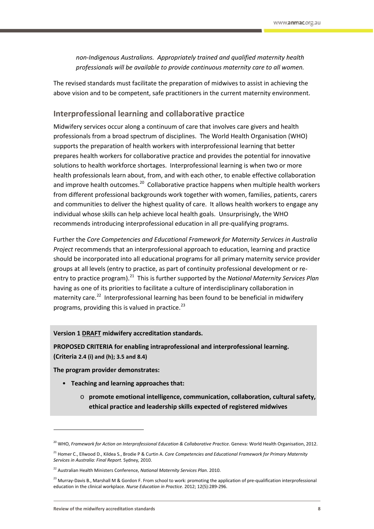*non-Indigenous Australians. Appropriately trained and qualified maternity health professionals will be available to provide continuous maternity care to all women.*

The revised standards must facilitate the preparation of midwives to assist in achieving the above vision and to be competent, safe practitioners in the current maternity environment.

# <span id="page-9-0"></span>**Interprofessional learning and collaborative practice**

Midwifery services occur along a continuum of care that involves care givers and health professionals from a broad spectrum of disciplines. The World Health Organisation (WHO) supports the preparation of health workers with interprofessional learning that better prepares health workers for collaborative practice and provides the potential for innovative solutions to health workforce shortages. Interprofessional learning is when two or more health professionals learn about, from, and with each other, to enable effective collaboration and improve health outcomes.<sup>20</sup> Collaborative practice happens when multiple health workers from different professional backgrounds work together with women, families, patients, carers and communities to deliver the highest quality of care. It allows health workers to engage any individual whose skills can help achieve local health goals. Unsurprisingly, the WHO recommends introducing interprofessional education in all pre-qualifying programs.

Further the *Core Competencies and Educational Framework for Maternity Services in Australia Project* recommends that an interprofessional approach to education, learning and practice should be incorporated into all educational programs for all primary maternity service provider groups at all levels (entry to practice, as part of continuity professional development or reentry to practice program).<sup>21</sup> This is further supported by the *National Maternity Services Plan* having as one of its priorities to facilitate a culture of interdisciplinary collaboration in maternity care.<sup>[22](#page-9-3)</sup> Interprofessional learning has been found to be beneficial in midwifery programs, providing this is valued in practice.<sup>[23](#page-9-4)</sup>

**Version 1 DRAFT midwifery accreditation standards.**

**PROPOSED CRITERIA for enabling intraprofessional and interprofessional learning. (Criteria 2.4 (i) and (h); 3.5 and 8.4)**

**The program provider demonstrates:**

- **Teaching and learning approaches that:**
	- o **promote emotional intelligence, communication, collaboration, cultural safety, ethical practice and leadership skills expected of registered midwives**

<span id="page-9-1"></span><sup>&</sup>lt;sup>20</sup> WHO, Framework for Action on Interprofessional Education & Collaborative Practice. Geneva: World Health Organisation, 2012.

<span id="page-9-2"></span><sup>21</sup> Homer C., Ellwood D., Kildea S., Brodie P & Curtin A. *Core Competencies and Educational Framework for Primary Maternity Services in Australia: Final Report*. Sydney, 2010.

<span id="page-9-3"></span><sup>22</sup> Australian Health Ministers Conference, *National Maternity Services Plan*. 2010.

<span id="page-9-4"></span> $^{23}$  Murray-Davis B., Marshall M & Gordon F. From school to work: promoting the application of pre-qualification interprofessional education in the clinical workplace. *Nurse Education in Practice*. 2012; 12(5):289-296.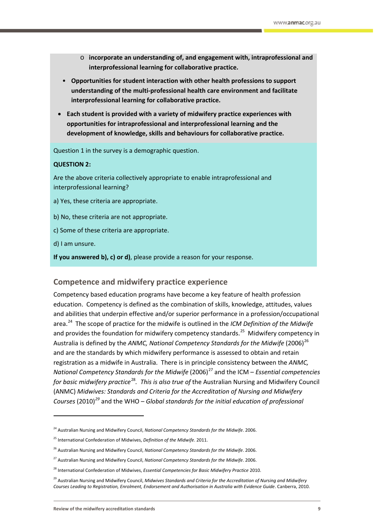- o **incorporate an understanding of, and engagement with, intraprofessional and interprofessional learning for collaborative practice.**
- **Opportunities for student interaction with other health professions to support understanding of the multi-professional health care environment and facilitate interprofessional learning for collaborative practice.**
- **Each student is provided with a variety of midwifery practice experiences with opportunities for intraprofessional and interprofessional learning and the development of knowledge, skills and behaviours for collaborative practice.**

Question 1 in the survey is a demographic question.

#### **QUESTION 2:**

Are the above criteria collectively appropriate to enable intraprofessional and interprofessional learning?

- a) Yes, these criteria are appropriate.
- b) No, these criteria are not appropriate.
- c) Some of these criteria are appropriate.
- d) I am unsure.

1

**If you answered b), c) or d)**, please provide a reason for your response.

### <span id="page-10-0"></span>**Competence and midwifery practice experience**

Competency based education programs have become a key feature of health profession education. Competency is defined as the combination of skills, knowledge, attitudes, values and abilities that underpin effective and/or superior performance in a profession/occupational area.[24](#page-10-1) The scope of practice for the midwife is outlined in the *ICM Definition of the Midwife* and provides the foundation for midwifery competency standards.<sup>[25](#page-10-2)</sup> Midwifery competency in Australia is defined by the *ANMC, National Competency Standards for the Midwife* (2006)<sup>[26](#page-10-3)</sup> and are the standards by which midwifery performance is assessed to obtain and retain registration as a midwife in Australia. There is in principle consistency between the *ANMC, National Competency Standards for the Midwife* (2006)<sup>[27](#page-10-4)</sup> and the ICM – *Essential competencies for basic midwifery practice*[28](#page-10-5)*. This is also true of* the Australian Nursing and Midwifery Council (ANMC) *Midwives: Standards and Criteria for the Accreditation of Nursing and Midwifery Courses* (2010) *[29](#page-10-6)* and the WHO – *Global standards for the initial education of professional* 

<span id="page-10-1"></span><sup>24</sup> Australian Nursing and Midwifery Council, *National Competency Standards for the Midwife*. 2006.

<span id="page-10-2"></span><sup>25</sup> International Confederation of Midwives, *Definition of the Midwife*. 2011.

<span id="page-10-3"></span><sup>26</sup> Australian Nursing and Midwifery Council, *National Competency Standards for the Midwife*. 2006.

<span id="page-10-4"></span><sup>27</sup> Australian Nursing and Midwifery Council, *National Competency Standards for the Midwife*. 2006.

<span id="page-10-5"></span><sup>28</sup> International Confederation of Midwives, *Essential Competencies for Basic Midwifery Practice* 2010.

<span id="page-10-6"></span><sup>29</sup> Australian Nursing and Midwifery Council, *Midwives Standards and Criteria for the Accreditation of Nursing and Midwifery Courses Leading to Registration, Enrolment, Endorsement and Authorisation in Australia with Evidence Guide*. Canberra, 2010.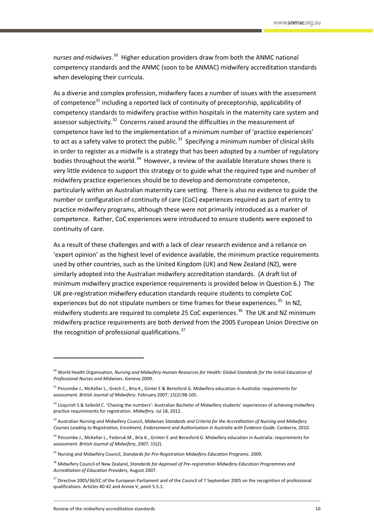nurses and midwives.<sup>[30](#page-11-0)</sup> Higher education providers draw from both the ANMC national competency standards and the ANMC (soon to be ANMAC) midwifery accreditation standards when developing their curricula.

As a diverse and complex profession, midwifery faces a number of issues with the assessment of competence<sup>[31](#page-11-1)</sup> including a reported lack of continuity of preceptorship, applicability of competency standards to midwifery practise within hospitals in the maternity care system and assessor subjectivity.<sup>[32](#page-11-2)</sup> Concerns raised around the difficulties in the measurement of competence have led to the implementation of a minimum number of 'practice experiences' to act as a safety valve to protect the public.<sup>[33](#page-11-3)</sup> Specifying a minimum number of clinical skills in order to register as a midwife is a strategy that has been adopted by a number of regulatory bodies throughout the world.<sup>[34](#page-11-4)</sup> However, a review of the available literature shows there is very little evidence to support this strategy or to guide what the required type and number of midwifery practice experiences should be to develop and demonstrate competence, particularly within an Australian maternity care setting. There is also no evidence to guide the number or configuration of continuity of care (CoC) experiences required as part of entry to practice midwifery programs, although these were not primarily introduced as a marker of competence. Rather, CoC experiences were introduced to ensure students were exposed to continuity of care.

As a result of these challenges and with a lack of clear research evidence and a reliance on 'expert opinion' as the highest level of evidence available, the minimum practice requirements used by other countries, such as the United Kingdom (UK) and New Zealand (NZ), were similarly adopted into the Australian midwifery accreditation standards. (A draft list of minimum midwifery practice experience requirements is provided below in Question 6.) The UK pre-registration midwifery education standards require students to complete CoC experiences but do not stipulate numbers or time frames for these experiences.<sup>35</sup> In NZ, midwifery students are required to complete 25 CoC experiences.<sup>[36](#page-11-6)</sup> The UK and NZ minimum midwifery practice requirements are both derived from the 2005 European Union Directive on the recognition of professional qualifications.<sup>[37](#page-11-7)</sup>

<span id="page-11-0"></span><sup>30</sup> World Health Organisation, *Nursing and Midwifery Human Resources for Health: Global Standards for the Initial Education of Professional Nurses and Midwives*. Geneva 2009.

<span id="page-11-1"></span><sup>&</sup>lt;sup>31</sup> Pincombe J., McKellar L., Grech C., Bria K., Ginter E & Beresford G. Midwifery education in Australia: requirements for assessment. *British Journal of Midwifery*. February 2007; 15(2):98-105.

<span id="page-11-2"></span><sup>&</sup>lt;sup>32</sup> Licqurish S & Seibold C. 'Chasing the numbers': Australian Bachelor of Midwifery students' experiences of achieving midwifery practice requirements for registration. *Midwifery*. Jul 18, 2012.

<span id="page-11-3"></span><sup>&</sup>lt;sup>33</sup> Australian Nursing and Midwifery Council, *Midwives Standards and Criteria for the Accreditation of Nursing and Midwifery Courses Leading to Registration, Enrolment, Endorsement and Authorisation in Australia with Evidence Guide*. Canberra, 2010.

<span id="page-11-4"></span><sup>&</sup>lt;sup>34</sup> Pincombe J., McKellar L., Fedoruk M., Bria K., Grinter E and Beresford G. Midwifery education in Australia: requirements for assessment. *British Journal of Midwifery*, 2007; 15(2).

<sup>35</sup> Nursing and Midwifery Council, *Standards for Pre-Registration Midwifery Education Programs*. 2009.

<span id="page-11-6"></span><span id="page-11-5"></span><sup>36</sup> Midwifery Council of New Zealand, *Standards for Approval of Pre-registration Midwifery Education Programmes and Accreditation of Education Providers,* August 2007.

<span id="page-11-7"></span><sup>&</sup>lt;sup>37</sup> Directive 2005/36/EC of the European Parliament and of the Council of 7 September 2005 on the recognition of professional qualifications. Articles 40-42 and Annex V, point 5.5.1.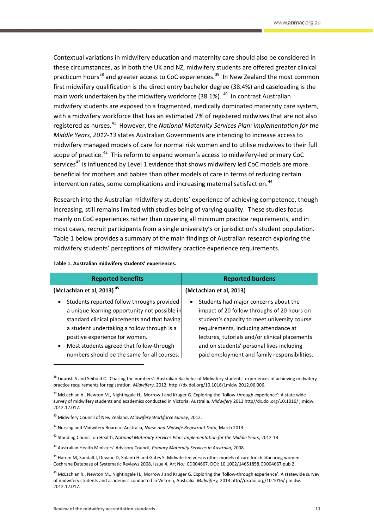Contextual variations in midwifery education and maternity care should also be considered in these circumstances, as in both the UK and NZ, midwifery students are offered greater clinical practicum hours<sup>[38](#page-12-0)</sup> and greater access to CoC experiences.<sup>[39](#page-12-1)</sup> In New Zealand the most common first midwifery qualification is the direct entry bachelor degree (38.4%) and caseloading is the main work undertaken by the midwifery workforce (38.1%). <sup>[40](#page-12-2)</sup> In contrast Australian midwifery students are exposed to a fragmented, medically dominated maternity care system, with a midwifery workforce that has an estimated 7% of registered midwives that are not also registered as nurses.<sup>[41](#page-12-3)</sup> However, the *National Maternity Services Plan: implementation for the Middle Years, 2012-13* states Australian Governments are intending to increase access to midwifery managed models of care for normal risk women and to utilise midwives to their full scope of practice.<sup>[42](#page-12-4)</sup> This reform to expand women's access to midwifery-led primary CoC services<sup>[43](#page-12-5)</sup> is influenced by Level 1 evidence that shows midwifery led CoC models are more beneficial for mothers and babies than other models of care in terms of reducing certain intervention rates, some complications and increasing maternal satisfaction.<sup>[44](#page-12-6)</sup>

Research into the Australian midwifery students' experience of achieving competence, though increasing, still remains limited with studies being of varying quality. These studies focus mainly on CoC experiences rather than covering all minimum practice requirements, and in most cases, recruit participants from a single university's or jurisdiction's student population. Table 1 below provides a summary of the main findings of Australian research exploring the midwifery students' perceptions of midwifery practice experience requirements.

| Table 1. Australian midwifery students' experiences. |  |  |  |
|------------------------------------------------------|--|--|--|
|------------------------------------------------------|--|--|--|

| <b>Reported benefits</b>                                                                                                                                                                                                                                                                                                                  | <b>Reported burdens</b>                                                                                                                                                                                                                                                                                                                   |
|-------------------------------------------------------------------------------------------------------------------------------------------------------------------------------------------------------------------------------------------------------------------------------------------------------------------------------------------|-------------------------------------------------------------------------------------------------------------------------------------------------------------------------------------------------------------------------------------------------------------------------------------------------------------------------------------------|
| (McLachlan et al, 2013) <sup>45</sup>                                                                                                                                                                                                                                                                                                     | (McLachlan et al, 2013)                                                                                                                                                                                                                                                                                                                   |
| Students reported follow throughs provided<br>٠<br>a unique learning opportunity not possible in<br>standard clinical placements and that having<br>a student undertaking a follow through is a<br>positive experience for women.<br>Most students agreed that follow-through<br>$\bullet$<br>numbers should be the same for all courses. | Students had major concerns about the<br>$\bullet$<br>impact of 20 follow throughs of 20 hours on<br>student's capacity to meet university course<br>requirements, including attendance at<br>lectures, tutorials and/or clinical placements<br>and on students' personal lives including<br>paid employment and family responsibilities. |

<span id="page-12-0"></span><sup>&</sup>lt;sup>38</sup> Liqurish S and Seibold C. 'Chasing the numbers': Australian Bachelor of Midwifery students' experiences of achieving midwifery practice requirements for registration*. Midwifery*, 2012. http://dx.doi.org/10.1016/j.midw.2012.06.006.

<span id="page-12-1"></span><sup>&</sup>lt;sup>39</sup> McLachlan h., Newton M., Nightingale H., Morrow J and Kruger G. Exploring the 'follow-through experience': A state wide survey of midwifery students and academics conducted in Victoria, Australia. *Midwifery* 2013 http//dx.doi.org/10.1016/ j.midw. 2012.12.017.

<span id="page-12-2"></span><sup>40</sup> Midwifery Council of New Zealand, *Midwifery Workforce Survey*, 2012.

<span id="page-12-3"></span><sup>41</sup> Nursing and Midwifery Board of Australia, *Nurse and Midwife Registrant Data*, March 2013.

<span id="page-12-4"></span><sup>42</sup> Standing Council on Health, *National Maternity Services Plan: Implementation for the Middle Years*, 2012-13.

<span id="page-12-5"></span><sup>43</sup> Australian Health Ministers' Advisory Council, *Primary Maternity Services in Australia*, 2008.

<span id="page-12-6"></span><sup>&</sup>lt;sup>44</sup> Hatem M, Sandall J, Devane D, Solanti H and Gates S. Midwife-led versus other models of care for childbearing women. Cochrane Database of Systematic Reviews 2008, Issue 4. Art No.: CD004667. DOI: 10.1002/14651858.CD004667.pub 2.

<span id="page-12-7"></span><sup>45</sup> McLachlan h., Newton M., Nightingale H., Morrow J and Kruger G. Exploring the 'follow-through experience': A statewide survey of midwifery students and academics conducted in Victoria, Australia. *Midwifery,* 2013 http//dx.doi.org/10.1016/ j.midw. 2012.12.017.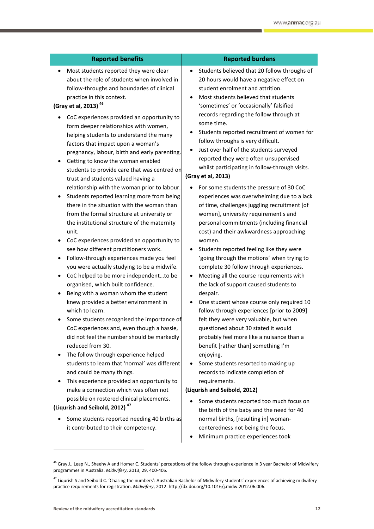#### **Reported benefits Reported burdens**

• Most students reported they were clear about the role of students when involved in follow-throughs and boundaries of clinical practice in this context.

#### **(Gray et al, 2013) [46](#page-13-0)**

- CoC experiences provided an opportunity to form deeper relationships with women, helping students to understand the many factors that impact upon a woman's pregnancy, labour, birth and early parenting.
- Getting to know the woman enabled students to provide care that was centred on trust and students valued having a relationship with the woman prior to labour.
- Students reported learning more from being there in the situation with the woman than from the formal structure at university or the institutional structure of the maternity unit.
- CoC experiences provided an opportunity to see how different practitioners work.
- Follow-through experiences made you feel you were actually studying to be a midwife.
- CoC helped to be more independent…to be organised, which built confidence.
- Being with a woman whom the student knew provided a better environment in which to learn.
- Some students recognised the importance of CoC experiences and, even though a hassle, did not feel the number should be markedly reduced from 30.
- The follow through experience helped students to learn that 'normal' was different and could be many things.
- This experience provided an opportunity to make a connection which was often not possible on rostered clinical placements.

#### **(Liqurish and Seibold, 2012) [47](#page-13-1)**

 $\overline{\phantom{a}}$ 

• Some students reported needing 40 births as it contributed to their competency.

- Students believed that 20 follow throughs of 20 hours would have a negative effect on student enrolment and attrition.
- Most students believed that students 'sometimes' or 'occasionally' falsified records regarding the follow through at some time.
- Students reported recruitment of women for follow throughs is very difficult.
- Just over half of the students surveyed reported they were often unsupervised whilst participating in follow-through visits. **(Gray et al, 2013)**

- For some students the pressure of 30 CoC experiences was overwhelming due to a lack of time, challenges juggling recruitment [of women], university requirement s and personal commitments (including financial cost) and their awkwardness approaching women.
- Students reported feeling like they were 'going through the motions' when trying to complete 30 follow through experiences.
- Meeting all the course requirements with the lack of support caused students to despair.
- One student whose course only required 10 follow through experiences [prior to 2009] felt they were very valuable, but when questioned about 30 stated it would probably feel more like a nuisance than a benefit [rather than] something I'm enjoying.
- Some students resorted to making up records to indicate completion of requirements.

#### **(Liqurish and Seibold, 2012)**

- Some students reported too much focus on the birth of the baby and the need for 40 normal births, [resulting in] womancenteredness not being the focus.
- Minimum practice experiences took

<span id="page-13-0"></span><sup>&</sup>lt;sup>46</sup> Gray J., Leap N., Sheehy A and Homer C. Students' perceptions of the follow through experience in 3 year Bachelor of Midwifery programmes in Australia. *Midwifery*, 2013, 29, 400-406.

<span id="page-13-1"></span> $^{47}$  Liqurish S and Seibold C. 'Chasing the numbers': Australian Bachelor of Midwifery students' experiences of achieving midwifery practice requirements for registration. *Midwifery*, 2012. http://dx.doi.org/10.1016/j.midw.2012.06.006.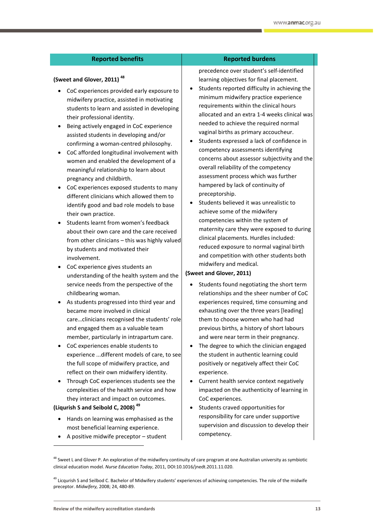#### **Reported benefits Reported burdens**

#### **(Sweet and Glover, 2011) [48](#page-14-0)**

- CoC experiences provided early exposure to midwifery practice, assisted in motivating students to learn and assisted in developing their professional identity.
- Being actively engaged in CoC experience assisted students in developing and/or confirming a woman-centred philosophy.
- CoC afforded longitudinal involvement with women and enabled the development of a meaningful relationship to learn about pregnancy and childbirth.
- CoC experiences exposed students to many different clinicians which allowed them to identify good and bad role models to base their own practice.
- Students learnt from women's feedback about their own care and the care received from other clinicians – this was highly valued by students and motivated their involvement.
- CoC experience gives students an understanding of the health system and the service needs from the perspective of the childbearing woman.
- As students progressed into third year and became more involved in clinical care…clinicians recognised the students' role and engaged them as a valuable team member, particularly in intrapartum care.
- CoC experiences enable students to experience ...different models of care, to see the full scope of midwifery practice, and reflect on their own midwifery identity.
- Through CoC experiences students see the complexities of the health service and how they interact and impact on outcomes.

### **(Liqurish S and Seibold C, 2008) [49](#page-14-1)**

**.** 

- Hands on learning was emphasised as the most beneficial learning experience.
- A positive midwife preceptor student

precedence over student's self-identified learning objectives for final placement.

- Students reported difficulty in achieving the minimum midwifery practice experience requirements within the clinical hours allocated and an extra 1-4 weeks clinical was needed to achieve the required normal vaginal births as primary accoucheur.
- Students expressed a lack of confidence in competency assessments identifying concerns about assessor subjectivity and the overall reliability of the competency assessment process which was further hampered by lack of continuity of preceptorship.
- Students believed it was unrealistic to achieve some of the midwifery competencies within the system of maternity care they were exposed to during clinical placements. Hurdles included: reduced exposure to normal vaginal birth and competition with other students both midwifery and medical.

#### **(Sweet and Glover, 2011)**

- Students found negotiating the short term relationships and the sheer number of CoC experiences required, time consuming and exhausting over the three years [leading] them to choose women who had had previous births, a history of short labours and were near term in their pregnancy.
- The degree to which the clinician engaged the student in authentic learning could positively or negatively affect their CoC experience.
- Current health service context negatively impacted on the authenticity of learning in CoC experiences.
- Students craved opportunities for responsibility for care under supportive supervision and discussion to develop their competency.

<span id="page-14-0"></span><sup>&</sup>lt;sup>48</sup> Sweet L and Glover P. An exploration of the midwifery continuity of care program at one Australian university as symbiotic clinical education model. *Nurse Education Today*, 2011, DOI:10.1016/jnedt.2011.11.020.

<span id="page-14-1"></span><sup>&</sup>lt;sup>49</sup> Licqurish S and Seilbod C. Bachelor of Midwifery students' experiences of achieving competencies. The role of the midwife preceptor. *Midwifery,* 2008; 24, 480-89.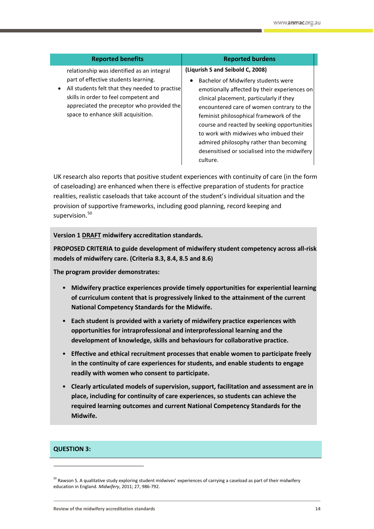| <b>Reported benefits</b>                                                                                                                                                                                                                                                        | <b>Reported burdens</b>                                                                                                                                                                                                                                                                                                                                                                                                                          |
|---------------------------------------------------------------------------------------------------------------------------------------------------------------------------------------------------------------------------------------------------------------------------------|--------------------------------------------------------------------------------------------------------------------------------------------------------------------------------------------------------------------------------------------------------------------------------------------------------------------------------------------------------------------------------------------------------------------------------------------------|
| relationship was identified as an integral<br>part of effective students learning.<br>All students felt that they needed to practise<br>$\bullet$<br>skills in order to feel competent and<br>appreciated the preceptor who provided the<br>space to enhance skill acquisition. | (Liqurish S and Seibold C, 2008)<br>Bachelor of Midwifery students were<br>emotionally affected by their experiences on<br>clinical placement, particularly if they<br>encountered care of women contrary to the<br>feminist philosophical framework of the<br>course and reacted by seeking opportunities<br>to work with midwives who imbued their<br>admired philosophy rather than becoming<br>desensitised or socialised into the midwifery |

UK research also reports that positive student experiences with continuity of care (in the form of caseloading) are enhanced when there is effective preparation of students for practice realities, realistic caseloads that take account of the student's individual situation and the provision of supportive frameworks, including good planning, record keeping and supervision. [50](#page-15-0)

culture.

**Version 1 DRAFT midwifery accreditation standards.**

**PROPOSED CRITERIA to guide development of midwifery student competency across all-risk models of midwifery care. (Criteria 8.3, 8.4, 8.5 and 8.6)**

**The program provider demonstrates:**

- **Midwifery practice experiences provide timely opportunities for experiential learning of curriculum content that is progressively linked to the attainment of the current National Competency Standards for the Midwife.**
- **Each student is provided with a variety of midwifery practice experiences with opportunities for intraprofessional and interprofessional learning and the development of knowledge, skills and behaviours for collaborative practice.**
- **Effective and ethical recruitment processes that enable women to participate freely in the continuity of care experiences for students, and enable students to engage readily with women who consent to participate.**
- **Clearly articulated models of supervision, support, facilitation and assessment are in place, including for continuity of care experiences, so students can achieve the required learning outcomes and current National Competency Standards for the Midwife.**

#### **QUESTION 3:**

<span id="page-15-0"></span> $50$  Rawson S. A qualitative study exploring student midwives' experiences of carrying a caseload as part of their midwifery education in England. *Midwifery*, 2011; 27, 986-792.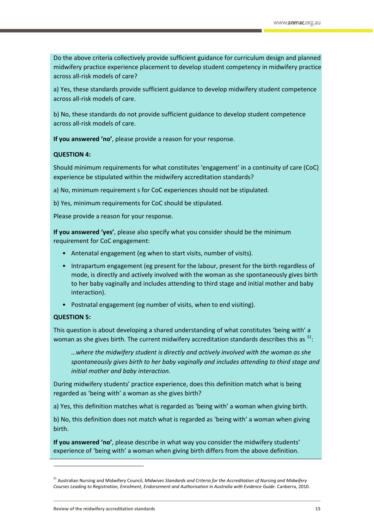Do the above criteria collectively provide sufficient guidance for curriculum design and planned midwifery practice experience placement to develop student competency in midwifery practice across all-risk models of care?

a) Yes, these standards provide sufficient guidance to develop midwifery student competence across all-risk models of care.

b) No, these standards do not provide sufficient guidance to develop student competence across all-risk models of care.

**If you answered 'no'**, please provide a reason for your response.

#### **QUESTION 4:**

Should minimum requirements for what constitutes 'engagement' in a continuity of care (CoC) experience be stipulated within the midwifery accreditation standards?

a) No, minimum requirement s for CoC experiences should not be stipulated.

b) Yes, minimum requirements for CoC should be stipulated.

Please provide a reason for your response.

**If you answered 'yes'**, please also specify what you consider should be the minimum requirement for CoC engagement:

- Antenatal engagement (eg when to start visits, number of visits).
- Intrapartum engagement (eg present for the labour, present for the birth regardless of mode, is directly and actively involved with the woman as she spontaneously gives birth to her baby vaginally and includes attending to third stage and initial mother and baby interaction).
- Postnatal engagement (eg number of visits, when to end visiting).

#### **QUESTION 5:**

**.** 

This question is about developing a shared understanding of what constitutes 'being with' a woman as she gives birth. The current midwifery accreditation standards describes this as *[51](#page-16-0)*:

*…where the midwifery student is directly and actively involved with the woman as she spontaneously gives birth to her baby vaginally and includes attending to third stage and initial mother and baby interaction.*

During midwifery students' practice experience, does this definition match what is being regarded as 'being with' a woman as she gives birth?

a) Yes, this definition matches what is regarded as 'being with' a woman when giving birth.

b) No, this definition does not match what is regarded as 'being with' a woman when giving birth.

**If you answered 'no'**, please describe in what way you consider the midwifery students' experience of 'being with' a woman when giving birth differs from the above definition.

<span id="page-16-0"></span><sup>51</sup> Australian Nursing and Midwifery Council, *Midwives Standards and Criteria for the Accreditation of Nursing and Midwifery Courses Leading to Registration, Enrolment, Endorsement and Authorisation in Australia with Evidence Guide*. Canberra, 2010.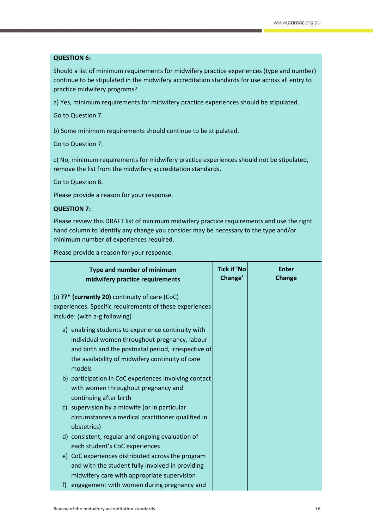#### **QUESTION 6:**

Should a list of minimum requirements for midwifery practice experiences (type and number) continue to be stipulated in the midwifery accreditation standards for use across all entry to practice midwifery programs?

a) Yes, minimum requirements for midwifery practice experiences should be stipulated.

Go to Question 7.

b) Some minimum requirements should continue to be stipulated.

Go to Question 7.

c) No, minimum requirements for midwifery practice experiences should not be stipulated, remove the list from the midwifery accreditation standards.

Go to Question 8.

Please provide a reason for your response.

#### **QUESTION 7:**

Please review this DRAFT list of minimum midwifery practice requirements and use the right hand column to identify any change you consider may be necessary to the type and/or minimum number of experiences required.

Please provide a reason for your response.

| Type and number of minimum<br>midwifery practice requirements                                              | <b>Tick if 'No</b><br>Change' | <b>Enter</b><br><b>Change</b> |
|------------------------------------------------------------------------------------------------------------|-------------------------------|-------------------------------|
| (i) ??* (currently 20) continuity of care (CoC)<br>experiences. Specific requirements of these experiences |                               |                               |
| include: (with a-g following)                                                                              |                               |                               |
| a) enabling students to experience continuity with                                                         |                               |                               |
| individual women throughout pregnancy, labour                                                              |                               |                               |
| and birth and the postnatal period, irrespective of<br>the availability of midwifery continuity of care    |                               |                               |
| models                                                                                                     |                               |                               |
| b) participation in CoC experiences involving contact                                                      |                               |                               |
| with women throughout pregnancy and                                                                        |                               |                               |
| continuing after birth                                                                                     |                               |                               |
| c) supervision by a midwife (or in particular                                                              |                               |                               |
| circumstances a medical practitioner qualified in                                                          |                               |                               |
| obstetrics)                                                                                                |                               |                               |
| d) consistent, regular and ongoing evaluation of                                                           |                               |                               |
| each student's CoC experiences                                                                             |                               |                               |
| e) CoC experiences distributed across the program                                                          |                               |                               |
| and with the student fully involved in providing                                                           |                               |                               |
| midwifery care with appropriate supervision                                                                |                               |                               |
| engagement with women during pregnancy and<br>f)                                                           |                               |                               |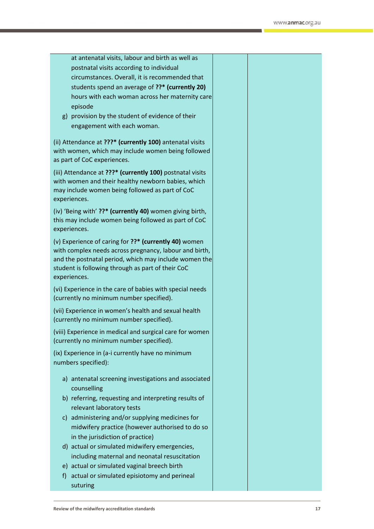| at antenatal visits, labour and birth as well as<br>postnatal visits according to individual                                                                                                                                                  |  |
|-----------------------------------------------------------------------------------------------------------------------------------------------------------------------------------------------------------------------------------------------|--|
| circumstances. Overall, it is recommended that                                                                                                                                                                                                |  |
| students spend an average of ??* (currently 20)                                                                                                                                                                                               |  |
| hours with each woman across her maternity care<br>episode                                                                                                                                                                                    |  |
| g) provision by the student of evidence of their                                                                                                                                                                                              |  |
| engagement with each woman.                                                                                                                                                                                                                   |  |
| (ii) Attendance at ???* (currently 100) antenatal visits<br>with women, which may include women being followed<br>as part of CoC experiences.                                                                                                 |  |
| (iii) Attendance at ???* (currently 100) postnatal visits<br>with women and their healthy newborn babies, which<br>may include women being followed as part of CoC<br>experiences.                                                            |  |
| (iv) 'Being with' ??* (currently 40) women giving birth,<br>this may include women being followed as part of CoC<br>experiences.                                                                                                              |  |
| (v) Experience of caring for ??* (currently 40) women<br>with complex needs across pregnancy, labour and birth,<br>and the postnatal period, which may include women the<br>student is following through as part of their CoC<br>experiences. |  |
| (vi) Experience in the care of babies with special needs<br>(currently no minimum number specified).                                                                                                                                          |  |
| (vii) Experience in women's health and sexual health<br>(currently no minimum number specified).                                                                                                                                              |  |
| (viii) Experience in medical and surgical care for women<br>(currently no minimum number specified).                                                                                                                                          |  |
| (ix) Experience in (a-i currently have no minimum<br>numbers specified):                                                                                                                                                                      |  |
| a) antenatal screening investigations and associated<br>counselling                                                                                                                                                                           |  |
| b) referring, requesting and interpreting results of<br>relevant laboratory tests                                                                                                                                                             |  |
| c) administering and/or supplying medicines for<br>midwifery practice (however authorised to do so<br>in the jurisdiction of practice)                                                                                                        |  |
| d) actual or simulated midwifery emergencies,<br>including maternal and neonatal resuscitation                                                                                                                                                |  |
| e) actual or simulated vaginal breech birth                                                                                                                                                                                                   |  |
| actual or simulated episiotomy and perineal<br>f)                                                                                                                                                                                             |  |
| suturing                                                                                                                                                                                                                                      |  |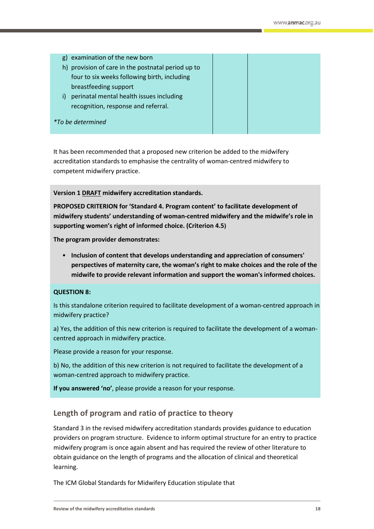| g) examination of the new born<br>h) provision of care in the postnatal period up to |  |
|--------------------------------------------------------------------------------------|--|
| four to six weeks following birth, including<br>breastfeeding support                |  |
| perinatal mental health issues including<br>recognition, response and referral.      |  |
| <i>*To be determined</i>                                                             |  |

It has been recommended that a proposed new criterion be added to the midwifery accreditation standards to emphasise the centrality of woman-centred midwifery to competent midwifery practice.

**Version 1 DRAFT midwifery accreditation standards.**

**PROPOSED CRITERION for 'Standard 4. Program content' to facilitate development of midwifery students' understanding of woman-centred midwifery and the midwife's role in supporting women's right of informed choice. (Criterion 4.5)**

**The program provider demonstrates:**

• **Inclusion of content that develops understanding and appreciation of consumers' perspectives of maternity care, the woman's right to make choices and the role of the midwife to provide relevant information and support the woman's informed choices.**

### **QUESTION 8:**

Is this standalone criterion required to facilitate development of a woman-centred approach in midwifery practice?

a) Yes, the addition of this new criterion is required to facilitate the development of a womancentred approach in midwifery practice.

Please provide a reason for your response.

b) No, the addition of this new criterion is not required to facilitate the development of a woman-centred approach to midwifery practice.

**If you answered 'no'**, please provide a reason for your response.

# <span id="page-19-0"></span>**Length of program and ratio of practice to theory**

Standard 3 in the revised midwifery accreditation standards provides guidance to education providers on program structure. Evidence to inform optimal structure for an entry to practice midwifery program is once again absent and has required the review of other literature to obtain guidance on the length of programs and the allocation of clinical and theoretical learning.

The ICM Global Standards for Midwifery Education stipulate that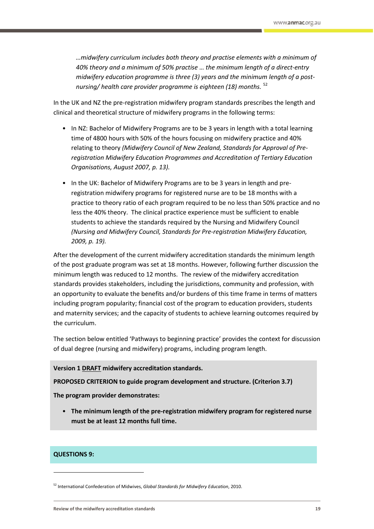*…midwifery curriculum includes both theory and practise elements with a minimum of 40% theory and a minimum of 50% practise* … *the minimum length of a direct-entry midwifery education programme is three (3) years and the minimum length of a postnursing/ health care provider programme is eighteen (18) months.* [52](#page-20-0)

In the UK and NZ the pre-registration midwifery program standards prescribes the length and clinical and theoretical structure of midwifery programs in the following terms:

- In NZ: Bachelor of Midwifery Programs are to be 3 years in length with a total learning time of 4800 hours with 50% of the hours focusing on midwifery practice and 40% relating to theory *(Midwifery Council of New Zealand, Standards for Approval of Preregistration Midwifery Education Programmes and Accreditation of Tertiary Education Organisations, August 2007, p. 13).*
- In the UK: Bachelor of Midwifery Programs are to be 3 years in length and preregistration midwifery programs for registered nurse are to be 18 months with a practice to theory ratio of each program required to be no less than 50% practice and no less the 40% theory. The clinical practice experience must be sufficient to enable students to achieve the standards required by the Nursing and Midwifery Council *(Nursing and Midwifery Council, Standards for Pre-registration Midwifery Education, 2009, p. 19).*

After the development of the current midwifery accreditation standards the minimum length of the post graduate program was set at 18 months. However, following further discussion the minimum length was reduced to 12 months. The review of the midwifery accreditation standards provides stakeholders, including the jurisdictions, community and profession, with an opportunity to evaluate the benefits and/or burdens of this time frame in terms of matters including program popularity; financial cost of the program to education providers, students and maternity services; and the capacity of students to achieve learning outcomes required by the curriculum.

The section below entitled 'Pathways to beginning practice' provides the context for discussion of dual degree (nursing and midwifery) programs, including program length.

#### **Version 1 DRAFT midwifery accreditation standards.**

**PROPOSED CRITERION to guide program development and structure. (Criterion 3.7)**

**The program provider demonstrates:**

• **The minimum length of the pre-registration midwifery program for registered nurse must be at least 12 months full time.**

### **QUESTIONS 9:**

 $\overline{\phantom{a}}$ 

<span id="page-20-0"></span><sup>52</sup> International Confederation of Midwives, *Global Standards for Midwifery Education*, 2010.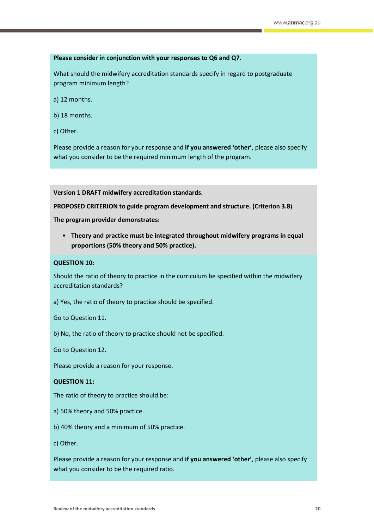#### **Please consider in conjunction with your responses to Q6 and Q7.**

What should the midwifery accreditation standards specify in regard to postgraduate program minimum length?

a) 12 months.

b) 18 months.

c) Other.

Please provide a reason for your response and **if you answered 'other'**, please also specify what you consider to be the required minimum length of the program.

**Version 1 DRAFT midwifery accreditation standards.**

**PROPOSED CRITERION to guide program development and structure. (Criterion 3.8)**

**The program provider demonstrates:**

• **Theory and practice must be integrated throughout midwifery programs in equal proportions (50% theory and 50% practice).**

#### **QUESTION 10:**

Should the ratio of theory to practice in the curriculum be specified within the midwifery accreditation standards?

a) Yes, the ratio of theory to practice should be specified.

Go to Question 11.

b) No, the ratio of theory to practice should not be specified.

Go to Question 12.

Please provide a reason for your response.

#### **QUESTION 11:**

The ratio of theory to practice should be:

- a) 50% theory and 50% practice.
- b) 40% theory and a minimum of 50% practice.
- c) Other.

Please provide a reason for your response and **if you answered 'other'**, please also specify what you consider to be the required ratio.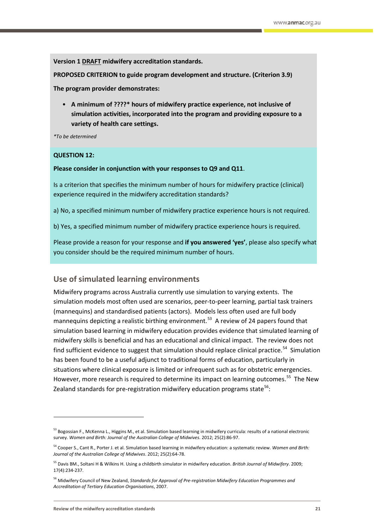**Version 1 DRAFT midwifery accreditation standards.**

**PROPOSED CRITERION to guide program development and structure. (Criterion 3.9)**

**The program provider demonstrates:**

• **A minimum of ????\* hours of midwifery practice experience, not inclusive of simulation activities, incorporated into the program and providing exposure to a variety of health care settings.**

*\*To be determined*

#### **QUESTION 12:**

#### **Please consider in conjunction with your responses to Q9 and Q11**.

Is a criterion that specifies the minimum number of hours for midwifery practice (clinical) experience required in the midwifery accreditation standards?

a) No, a specified minimum number of midwifery practice experience hours is not required.

b) Yes, a specified minimum number of midwifery practice experience hours is required.

Please provide a reason for your response and **if you answered 'yes'**, please also specify what you consider should be the required minimum number of hours.

# <span id="page-22-0"></span>**Use of simulated learning environments**

Midwifery programs across Australia currently use simulation to varying extents. The simulation models most often used are scenarios, peer-to-peer learning, partial task trainers (mannequins) and standardised patients (actors). Models less often used are full body mannequins depicting a realistic birthing environment.<sup>[53](#page-22-1)</sup> A review of 24 papers found that simulation based learning in midwifery education provides evidence that simulated learning of midwifery skills is beneficial and has an educational and clinical impact. The review does not find sufficient evidence to suggest that simulation should replace clinical practice.<sup>[54](#page-22-2)</sup> Simulation has been found to be a useful adjunct to traditional forms of education, particularly in situations where clinical exposure is limited or infrequent such as for obstetric emergencies. However, more research is required to determine its impact on learning outcomes.<sup>[55](#page-22-3)</sup> The New Zealand standards for pre-registration midwifery education programs state<sup>[56](#page-22-4)</sup>:

<span id="page-22-1"></span><sup>53</sup> Bogossian F., McKenna L., Higgins M., et al. Simulation based learning in midwifery curricula: results of a national electronic survey. *Women and Birth: Journal of the Australian College of Midwives*. 2012; 25(2):86-97.

<span id="page-22-2"></span><sup>54</sup> Cooper S., Cant R., Porter J. et al. Simulation based learning in midwifery education: a systematic review. *Women and Birth: Journal of the Australian College of Midwives*. 2012; 25(2):64-78.

<span id="page-22-3"></span><sup>55</sup> Davis BM., Soltani H & Wilkins H. Using a childbirth simulator in midwifery education. *British Journal of Midwifery*. 2009; 17(4):234-237.

<span id="page-22-4"></span><sup>56</sup> Midwifery Council of New Zealand, *Standards for Approval of Pre-registration Midwifery Education Programmes and Accreditation of Tertiary Education Organisations*, 2007.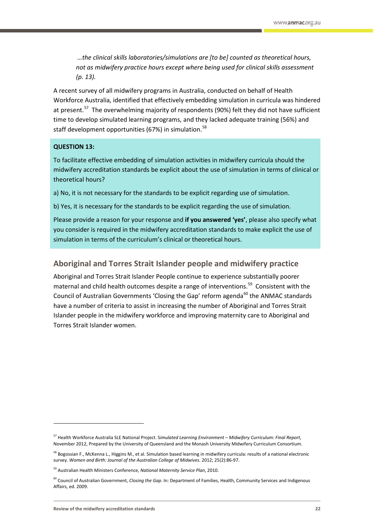*…the clinical skills laboratories/simulations are [to be] counted as theoretical hours, not as midwifery practice hours except where being used for clinical skills assessment (p. 13).*

A recent survey of all midwifery programs in Australia, conducted on behalf of Health Workforce Australia, identified that effectively embedding simulation in curricula was hindered at present.<sup>[57](#page-23-1)</sup> The overwhelming majority of respondents (90%) felt they did not have sufficient time to develop simulated learning programs, and they lacked adequate training (56%) and staff development opportunities (67%) in simulation.<sup>[58](#page-23-2)</sup>

#### **QUESTION 13:**

To facilitate effective embedding of simulation activities in midwifery curricula should the midwifery accreditation standards be explicit about the use of simulation in terms of clinical or theoretical hours?

a) No, it is not necessary for the standards to be explicit regarding use of simulation.

b) Yes, it is necessary for the standards to be explicit regarding the use of simulation.

Please provide a reason for your response and **if you answered 'yes'**, please also specify what you consider is required in the midwifery accreditation standards to make explicit the use of simulation in terms of the curriculum's clinical or theoretical hours.

# <span id="page-23-0"></span>**Aboriginal and Torres Strait Islander people and midwifery practice**

Aboriginal and Torres Strait Islander People continue to experience substantially poorer maternal and child health outcomes despite a range of interventions.<sup>59</sup> Consistent with the Council of Australian Governments 'Closing the Gap' reform agenda<sup>[60](#page-23-4)</sup> the ANMAC standards have a number of criteria to assist in increasing the number of Aboriginal and Torres Strait Islander people in the midwifery workforce and improving maternity care to Aboriginal and Torres Strait Islander women.

 $\overline{\phantom{a}}$ 

<span id="page-23-1"></span><sup>57</sup> Health Workforce Australia SLE National Project. S*imulated Learning Environment – Midwifery Curriculum: Final Report*, November 2012, Prepared by the University of Queensland and the Monash University Midwifery Curriculum Consortium.

<span id="page-23-2"></span><sup>&</sup>lt;sup>58</sup> Bogossian F., McKenna L., Higgins M., et al. Simulation based learning in midwifery curricula: results of a national electronic survey. *Women and Birth: Journal of the Australian College of Midwives*. 2012; 25(2):86-97.

<span id="page-23-3"></span><sup>59</sup> Australian Health Ministers Conference, *National Maternity Service Plan*, 2010.

<span id="page-23-4"></span><sup>&</sup>lt;sup>60</sup> Council of Australian Government. *Closing the Gap.* In: Department of Families. Health. Community Services and Indigenous Affairs, ed. 2009.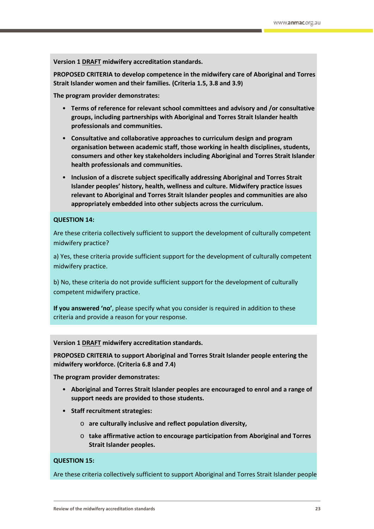**Version 1 DRAFT midwifery accreditation standards.**

**PROPOSED CRITERIA to develop competence in the midwifery care of Aboriginal and Torres Strait Islander women and their families. (Criteria 1.5, 3.8 and 3.9)**

**The program provider demonstrates:**

- **Terms of reference for relevant school committees and advisory and /or consultative groups, including partnerships with Aboriginal and Torres Strait Islander health professionals and communities.**
- **Consultative and collaborative approaches to curriculum design and program organisation between academic staff, those working in health disciplines, students, consumers and other key stakeholders including Aboriginal and Torres Strait Islander health professionals and communities.**
- **Inclusion of a discrete subject specifically addressing Aboriginal and Torres Strait Islander peoples' history, health, wellness and culture. Midwifery practice issues relevant to Aboriginal and Torres Strait Islander peoples and communities are also appropriately embedded into other subjects across the curriculum.**

#### **QUESTION 14:**

Are these criteria collectively sufficient to support the development of culturally competent midwifery practice?

a) Yes, these criteria provide sufficient support for the development of culturally competent midwifery practice.

b) No, these criteria do not provide sufficient support for the development of culturally competent midwifery practice.

**If you answered 'no'**, please specify what you consider is required in addition to these criteria and provide a reason for your response.

**Version 1 DRAFT midwifery accreditation standards.**

**PROPOSED CRITERIA to support Aboriginal and Torres Strait Islander people entering the midwifery workforce. (Criteria 6.8 and 7.4)**

**The program provider demonstrates:**

- **Aboriginal and Torres Strait Islander peoples are encouraged to enrol and a range of support needs are provided to those students.**
- **Staff recruitment strategies:**
	- o **are culturally inclusive and reflect population diversity,**
	- o **take affirmative action to encourage participation from Aboriginal and Torres Strait Islander peoples.**

#### **QUESTION 15:**

Are these criteria collectively sufficient to support Aboriginal and Torres Strait Islander people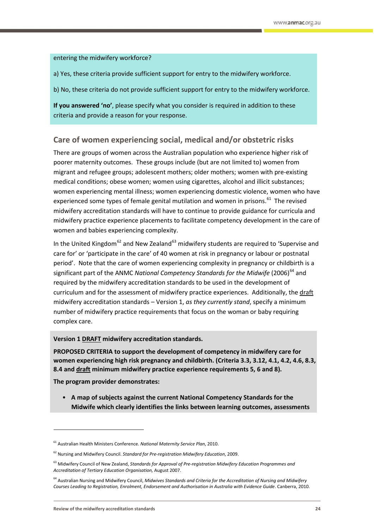#### entering the midwifery workforce?

a) Yes, these criteria provide sufficient support for entry to the midwifery workforce.

b) No, these criteria do not provide sufficient support for entry to the midwifery workforce.

**If you answered 'no'**, please specify what you consider is required in addition to these criteria and provide a reason for your response.

# <span id="page-25-0"></span>**Care of women experiencing social, medical and/or obstetric risks**

There are groups of women across the Australian population who experience higher risk of poorer maternity outcomes. These groups include (but are not limited to) women from migrant and refugee groups; adolescent mothers; older mothers; women with pre-existing medical conditions; obese women; women using cigarettes, alcohol and illicit substances; women experiencing mental illness; women experiencing domestic violence, women who have experienced some types of female genital mutilation and women in prisons. $^{61}$  $^{61}$  $^{61}$  The revised midwifery accreditation standards will have to continue to provide guidance for curricula and midwifery practice experience placements to facilitate competency development in the care of women and babies experiencing complexity.

In the United Kingdom<sup>[62](#page-25-2)</sup> and New Zealand<sup>[63](#page-25-3)</sup> midwifery students are required to 'Supervise and care for' or 'participate in the care' of 40 women at risk in pregnancy or labour or postnatal period'. Note that the care of women experiencing complexity in pregnancy or childbirth is a significant part of the ANMC *National Competency Standards for the Midwife* (2006) [64](#page-25-4) and required by the midwifery accreditation standards to be used in the development of curriculum and for the assessment of midwifery practice experiences. Additionally, the draft midwifery accreditation standards – Version 1, *as they currently stand*, specify a minimum number of midwifery practice requirements that focus on the woman or baby requiring complex care.

**Version 1 DRAFT midwifery accreditation standards.**

**PROPOSED CRITERIA to support the development of competency in midwifery care for women experiencing high risk pregnancy and childbirth. (Criteria 3.3, 3.12, 4.1, 4.2, 4.6, 8.3, 8.4 and draft minimum midwifery practice experience requirements 5, 6 and 8).**

**The program provider demonstrates:**

**.** 

• **A map of subjects against the current National Competency Standards for the Midwife which clearly identifies the links between learning outcomes, assessments** 

<span id="page-25-1"></span><sup>61</sup> Australian Health Ministers Conference. *National Maternity Service Plan*, 2010.

<span id="page-25-2"></span><sup>62</sup> Nursing and Midwifery Council. *Standard for Pre-registration Midwifery Education*, 2009.

<span id="page-25-3"></span><sup>63</sup> Midwifery Council of New Zealand, *Standards for Approval of Pre-registration Midwifery Education Programmes and Accreditation of Tertiary Education Organisation,* August 2007.

<span id="page-25-4"></span><sup>64</sup> Australian Nursing and Midwifery Council, *Midwives Standards and Criteria for the Accreditation of Nursing and Midwifery Courses Leading to Registration, Enrolment, Endorsement and Authorisation in Australia with Evidence Guide*. Canberra, 2010.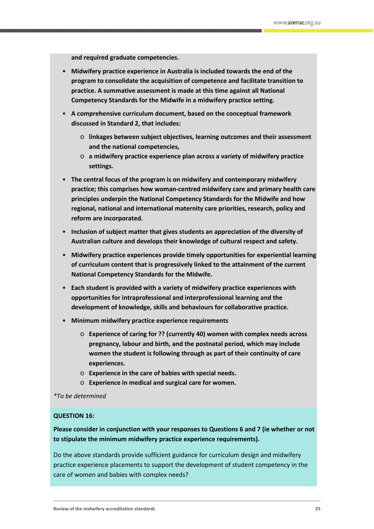**and required graduate competencies.**

- **Midwifery practice experience in Australia is included towards the end of the program to consolidate the acquisition of competence and facilitate transition to practice. A summative assessment is made at this time against all National Competency Standards for the Midwife in a midwifery practice setting.**
- **A comprehensive curriculum document, based on the conceptual framework discussed in Standard 2, that includes:**
	- o **linkages between subject objectives, learning outcomes and their assessment and the national competencies,**
	- o **a midwifery practice experience plan across a variety of midwifery practice settings.**
- **The central focus of the program is on midwifery and contemporary midwifery practice; this comprises how woman-centred midwifery care and primary health care principles underpin the National Competency Standards for the Midwife and how regional, national and international maternity care priorities, research, policy and reform are incorporated.**
- **Inclusion of subject matter that gives students an appreciation of the diversity of Australian culture and develops their knowledge of cultural respect and safety.**
- **Midwifery practice experiences provide timely opportunities for experiential learning of curriculum content that is progressively linked to the attainment of the current National Competency Standards for the Midwife.**
- **Each student is provided with a variety of midwifery practice experiences with opportunities for intraprofessional and interprofessional learning and the development of knowledge, skills and behaviours for collaborative practice.**
- **Minimum midwifery practice experience requirements**
	- o **Experience of caring for ?? (currently 40) women with complex needs across pregnancy, labour and birth, and the postnatal period, which may include women the student is following through as part of their continuity of care experiences.**
	- o **Experience in the care of babies with special needs.**
	- o **Experience in medical and surgical care for women.**

#### *\*To be determined*

#### **QUESTION 16:**

**Please consider in conjunction with your responses to Questions 6 and 7 (ie whether or not to stipulate the minimum midwifery practice experience requirements).**

Do the above standards provide sufficient guidance for curriculum design and midwifery practice experience placements to support the development of student competency in the care of women and babies with complex needs?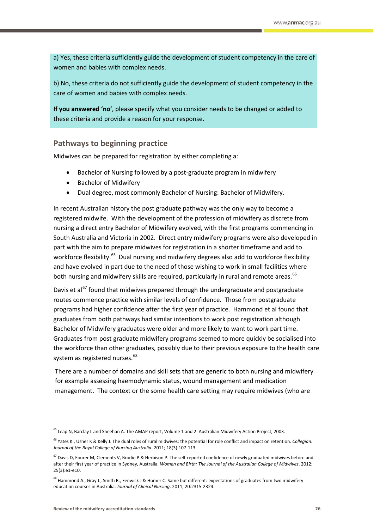a) Yes, these criteria sufficiently guide the development of student competency in the care of women and babies with complex needs.

b) No, these criteria do not sufficiently guide the development of student competency in the care of women and babies with complex needs.

**If you answered 'no'**, please specify what you consider needs to be changed or added to these criteria and provide a reason for your response.

#### <span id="page-27-0"></span>**Pathways to beginning practice**

Midwives can be prepared for registration by either completing a:

- Bachelor of Nursing followed by a post-graduate program in midwifery
- Bachelor of Midwifery
- Dual degree, most commonly Bachelor of Nursing: Bachelor of Midwifery.

In recent Australian history the post graduate pathway was the only way to become a registered midwife. With the development of the profession of midwifery as discrete from nursing a direct entry Bachelor of Midwifery evolved, with the first programs commencing in South Australia and Victoria in 2002. Direct entry midwifery programs were also developed in part with the aim to prepare midwives for registration in a shorter timeframe and add to workforce flexibility.<sup>[65](#page-27-1)</sup> Dual nursing and midwifery degrees also add to workforce flexibility and have evolved in part due to the need of those wishing to work in small facilities where both nursing and midwifery skills are required, particularly in rural and remote areas.<sup>[66](#page-27-2)</sup>

Davis et al $^{67}$  $^{67}$  $^{67}$  found that midwives prepared through the undergraduate and postgraduate routes commence practice with similar levels of confidence. Those from postgraduate programs had higher confidence after the first year of practice. Hammond et al found that graduates from both pathways had similar intentions to work post registration although Bachelor of Midwifery graduates were older and more likely to want to work part time. Graduates from post graduate midwifery programs seemed to more quickly be socialised into the workforce than other graduates, possibly due to their previous exposure to the health care system as registered nurses.<sup>[68](#page-27-4)</sup>

There are a number of domains and skill sets that are generic to both nursing and midwifery for example assessing haemodynamic status, wound management and medication management. The context or the some health care setting may require midwives (who are

<span id="page-27-1"></span><sup>&</sup>lt;sup>65</sup> Leap N, Barclay L and Sheehan A. The AMAP report, Volume 1 and 2: Australian Midwifery Action Project, 2003.

<span id="page-27-2"></span><sup>66</sup> Yates K., Usher K & Kelly J. The dual roles of rural midwives: the potential for role conflict and impact on retention. *Collegian: Journal of the Royal College of Nursing Australia*. 2011; 18(3):107-113.

<span id="page-27-3"></span><sup>&</sup>lt;sup>67</sup> Davis D, Fourer M, Clements V, Brodie P & Herbison P. The self-reported confidence of newly graduated midwives before and after their first year of practice in Sydney, Australia. *Women and Birth: The Journal of the Australian College of Midwives*. 2012; 25(3):e1-e10.

<span id="page-27-4"></span><sup>&</sup>lt;sup>68</sup> Hammond A., Gray J., Smith R., Fenwick J & Homer C. Same but different: expectations of graduates from two midwifery education courses in Australia. *Journal of Clinical Nursing*. 2011; 20:2315-2324.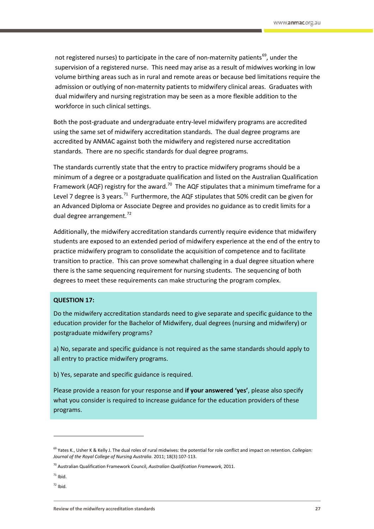not registered nurses) to participate in the care of non-maternity patients<sup>[69](#page-28-0)</sup>, under the supervision of a registered nurse. This need may arise as a result of midwives working in low volume birthing areas such as in rural and remote areas or because bed limitations require the admission or outlying of non-maternity patients to midwifery clinical areas. Graduates with dual midwifery and nursing registration may be seen as a more flexible addition to the workforce in such clinical settings.

Both the post-graduate and undergraduate entry-level midwifery programs are accredited using the same set of midwifery accreditation standards. The dual degree programs are accredited by ANMAC against both the midwifery and registered nurse accreditation standards. There are no specific standards for dual degree programs.

The standards currently state that the entry to practice midwifery programs should be a minimum of a degree or a postgraduate qualification and listed on the Australian Qualification Framework (AQF) registry for the award.<sup>70</sup> The AQF stipulates that a minimum timeframe for a Level 7 degree is 3 years.<sup>[71](#page-28-2)</sup> Furthermore, the AQF stipulates that 50% credit can be given for an Advanced Diploma or Associate Degree and provides no guidance as to credit limits for a dual degree arrangement.<sup>[72](#page-28-3)</sup>

Additionally, the midwifery accreditation standards currently require evidence that midwifery students are exposed to an extended period of midwifery experience at the end of the entry to practice midwifery program to consolidate the acquisition of competence and to facilitate transition to practice. This can prove somewhat challenging in a dual degree situation where there is the same sequencing requirement for nursing students. The sequencing of both degrees to meet these requirements can make structuring the program complex.

#### **QUESTION 17:**

Do the midwifery accreditation standards need to give separate and specific guidance to the education provider for the Bachelor of Midwifery, dual degrees (nursing and midwifery) or postgraduate midwifery programs?

a) No, separate and specific guidance is not required as the same standards should apply to all entry to practice midwifery programs.

b) Yes, separate and specific guidance is required.

Please provide a reason for your response and **if your answered 'yes'**, please also specify what you consider is required to increase guidance for the education providers of these programs.

<span id="page-28-0"></span><sup>69</sup> Yates K., Usher K & Kelly J. The dual roles of rural midwives: the potential for role conflict and impact on retention. *Collegian: Journal of the Royal College of Nursing Australia*. 2011; 18(3):107-113.

<span id="page-28-1"></span><sup>70</sup> Australian Qualification Framework Council, *Australian Qualification Framework*, 2011.

<span id="page-28-2"></span> $71$  Ibid.

<span id="page-28-3"></span> $72$  Ibid.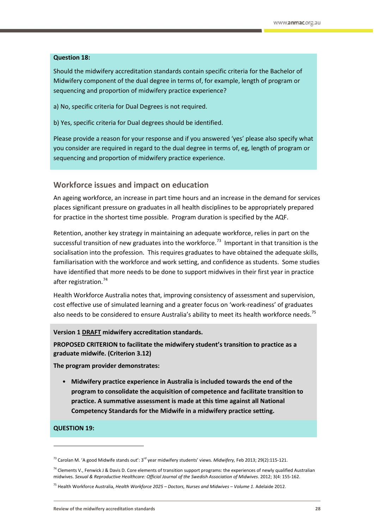#### **Question 18:**

Should the midwifery accreditation standards contain specific criteria for the Bachelor of Midwifery component of the dual degree in terms of, for example, length of program or sequencing and proportion of midwifery practice experience?

a) No, specific criteria for Dual Degrees is not required.

b) Yes, specific criteria for Dual degrees should be identified.

Please provide a reason for your response and if you answered 'yes' please also specify what you consider are required in regard to the dual degree in terms of, eg, length of program or sequencing and proportion of midwifery practice experience.

# <span id="page-29-0"></span>**Workforce issues and impact on education**

An ageing workforce, an increase in part time hours and an increase in the demand for services places significant pressure on graduates in all health disciplines to be appropriately prepared for practice in the shortest time possible. Program duration is specified by the AQF.

Retention, another key strategy in maintaining an adequate workforce, relies in part on the successful transition of new graduates into the workforce.<sup>[73](#page-29-1)</sup> Important in that transition is the socialisation into the profession. This requires graduates to have obtained the adequate skills, familiarisation with the workforce and work setting, and confidence as students. Some studies have identified that more needs to be done to support midwives in their first year in practice after registration.<sup>[74](#page-29-2)</sup>

Health Workforce Australia notes that, improving consistency of assessment and supervision, cost effective use of simulated learning and a greater focus on 'work-readiness' of graduates also needs to be considered to ensure Australia's ability to meet its health workforce needs.<sup>[75](#page-29-3)</sup>

**Version 1 DRAFT midwifery accreditation standards.**

**PROPOSED CRITERION to facilitate the midwifery student's transition to practice as a graduate midwife. (Criterion 3.12)**

**The program provider demonstrates:**

• **Midwifery practice experience in Australia is included towards the end of the program to consolidate the acquisition of competence and facilitate transition to practice. A summative assessment is made at this time against all National Competency Standards for the Midwife in a midwifery practice setting.**

**QUESTION 19:**

 $\overline{\phantom{a}}$ 

<span id="page-29-1"></span><sup>73</sup> Carolan M. 'A good Midwife stands out': 3rd year midwifery students' views. *Midwifery,* Feb 2013; 29(2):115-121.

<span id="page-29-2"></span><sup>&</sup>lt;sup>74</sup> Clements V., Fenwick J & Davis D. Core elements of transition support programs: the experiences of newly qualified Australian midwives. *Sexual & Reproductive Healthcare: Official Journal of the Swedish Association of Midwives*. 2012; 3(4: 155-162.

<span id="page-29-3"></span><sup>75</sup> Health Workforce Australia, *Health Workforce 2025 – Doctors, Nurses and Midwives – Volume 1*. Adelaide 2012.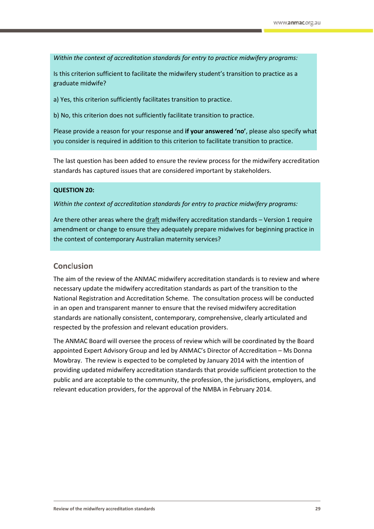*Within the context of accreditation standards for entry to practice midwifery programs:*

Is this criterion sufficient to facilitate the midwifery student's transition to practice as a graduate midwife?

a) Yes, this criterion sufficiently facilitates transition to practice.

b) No, this criterion does not sufficiently facilitate transition to practice.

Please provide a reason for your response and **if your answered 'no'**, please also specify what you consider is required in addition to this criterion to facilitate transition to practice.

The last question has been added to ensure the review process for the midwifery accreditation standards has captured issues that are considered important by stakeholders.

### **QUESTION 20:**

*Within the context of accreditation standards for entry to practice midwifery programs:*

Are there other areas where the draft midwifery accreditation standards – Version 1 require amendment or change to ensure they adequately prepare midwives for beginning practice in the context of contemporary Australian maternity services?

# <span id="page-30-0"></span>**Conc**l**usion**

The aim of the review of the ANMAC midwifery accreditation standards is to review and where necessary update the midwifery accreditation standards as part of the transition to the National Registration and Accreditation Scheme. The consultation process will be conducted in an open and transparent manner to ensure that the revised midwifery accreditation standards are nationally consistent, contemporary, comprehensive, clearly articulated and respected by the profession and relevant education providers.

The ANMAC Board will oversee the process of review which will be coordinated by the Board appointed Expert Advisory Group and led by ANMAC's Director of Accreditation – Ms Donna Mowbray. The review is expected to be completed by January 2014 with the intention of providing updated midwifery accreditation standards that provide sufficient protection to the public and are acceptable to the community, the profession, the jurisdictions, employers, and relevant education providers, for the approval of the NMBA in February 2014.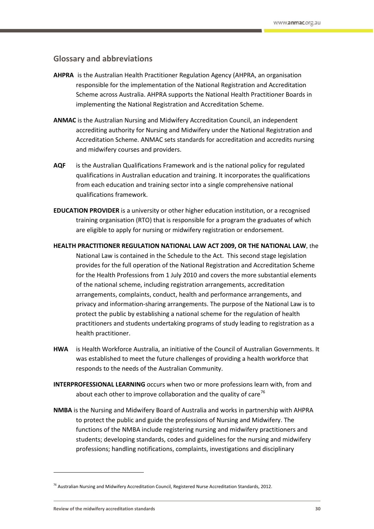# <span id="page-31-0"></span>**Glossary and abbreviations**

- **AHPRA** is the Australian Health Practitioner Regulation Agency (AHPRA, an organisation responsible for the implementation of the National Registration and Accreditation Scheme across Australia. AHPRA supports the National Health Practitioner Boards in implementing the National Registration and Accreditation Scheme.
- **ANMAC** is the Australian Nursing and Midwifery Accreditation Council, an independent accrediting authority for Nursing and Midwifery under the National Registration and Accreditation Scheme. ANMAC sets standards for accreditation and accredits nursing and midwifery courses and providers.
- **AQF** is the Australian Qualifications Framework and is the national policy for regulated qualifications in Australian education and training. It incorporates the qualifications from each education and training sector into a single comprehensive national qualifications framework.
- **EDUCATION PROVIDER** is a university or other higher education institution, or a recognised training organisation (RTO) that is responsible for a program the graduates of which are eligible to apply for nursing or midwifery registration or endorsement.
- **HEALTH PRACTITIONER REGULATION NATIONAL LAW ACT 2009, OR THE NATIONAL LAW**, the National Law is contained in the Schedule to the Act. This second stage legislation provides for the full operation of the National Registration and Accreditation Scheme for the Health Professions from 1 July 2010 and covers the more substantial elements of the national scheme, including registration arrangements, accreditation arrangements, complaints, conduct, health and performance arrangements, and privacy and information-sharing arrangements. The purpose of the National Law is to protect the public by establishing a national scheme for the regulation of health practitioners and students undertaking programs of study leading to registration as a health practitioner.
- **HWA** is Health Workforce Australia, an initiative of the Council of Australian Governments. It was established to meet the future challenges of providing a health workforce that responds to the needs of the Australian Community.
- **INTERPROFESSIONAL LEARNING** occurs when two or more professions learn with, from and about each other to improve collaboration and the quality of care<sup>[76](#page-31-1)</sup>
- **NMBA** is the Nursing and Midwifery Board of Australia and works in partnership with AHPRA to protect the public and guide the professions of Nursing and Midwifery. The functions of the NMBA include registering nursing and midwifery practitioners and students; developing standards, codes and guidelines for the nursing and midwifery professions; handling notifications, complaints, investigations and disciplinary

 $\overline{\phantom{a}}$ 

<span id="page-31-1"></span> $^{76}$  Australian Nursing and Midwifery Accreditation Council, Registered Nurse Accreditation Standards, 2012.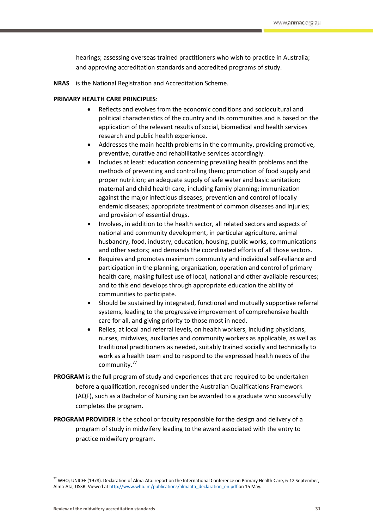hearings; assessing overseas trained practitioners who wish to practice in Australia; and approving accreditation standards and accredited programs of study.

**NRAS** is the National Registration and Accreditation Scheme.

#### **PRIMARY HEALTH CARE PRINCIPLES**:

- Reflects and evolves from the economic conditions and sociocultural and political characteristics of the country and its communities and is based on the application of the relevant results of social, biomedical and health services research and public health experience.
- Addresses the main health problems in the community, providing promotive, preventive, curative and rehabilitative services accordingly.
- Includes at least: education concerning prevailing health problems and the methods of preventing and controlling them; promotion of food supply and proper nutrition; an adequate supply of safe water and basic sanitation; maternal and child health care, including family planning; immunization against the major infectious diseases; prevention and control of locally endemic diseases; appropriate treatment of common diseases and injuries; and provision of essential drugs.
- Involves, in addition to the health sector, all related sectors and aspects of national and community development, in particular agriculture, animal husbandry, food, industry, education, housing, public works, communications and other sectors; and demands the coordinated efforts of all those sectors.
- Requires and promotes maximum community and individual self-reliance and participation in the planning, organization, operation and control of primary health care, making fullest use of local, national and other available resources; and to this end develops through appropriate education the ability of communities to participate.
- Should be sustained by integrated, functional and mutually supportive referral systems, leading to the progressive improvement of comprehensive health care for all, and giving priority to those most in need.
- Relies, at local and referral levels, on health workers, including physicians, nurses, midwives, auxiliaries and community workers as applicable, as well as traditional practitioners as needed, suitably trained socially and technically to work as a health team and to respond to the expressed health needs of the community.<sup>[77](#page-32-0)</sup>
- **PROGRAM** is the full program of study and experiences that are required to be undertaken before a qualification, recognised under the Australian Qualifications Framework (AQF), such as a Bachelor of Nursing can be awarded to a graduate who successfully completes the program.
- **PROGRAM PROVIDER** is the school or faculty responsible for the design and delivery of a program of study in midwifery leading to the award associated with the entry to practice midwifery program.

<span id="page-32-0"></span> $^{77}$  WHO; UNICEF (1978). Declaration of Alma-Ata: report on the International Conference on Primary Health Care, 6-12 September, Alma-Ata, USSR. Viewed a[t http://www.who.int/publications/almaata\\_declaration\\_en.pdf](http://www.who.int/publications/almaata_declaration_en.pdf) on 15 May.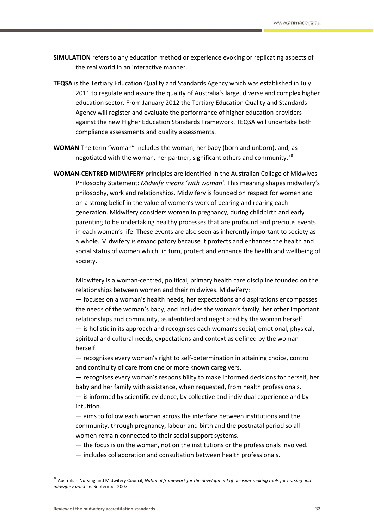- **SIMULATION** refers to any education method or experience evoking or replicating aspects of the real world in an interactive manner.
- **TEQSA** is the Tertiary Education Quality and Standards Agency which was established in July 2011 to regulate and assure the quality of Australia's large, diverse and complex higher education sector. From January 2012 the Tertiary Education Quality and Standards Agency will register and evaluate the performance of higher education providers against the new Higher Education Standards Framework. TEQSA will undertake both compliance assessments and quality assessments.
- **WOMAN** The term "woman" includes the woman, her baby (born and unborn), and, as negotiated with the woman, her partner, significant others and community.<sup>[78](#page-33-0)</sup>
- **WOMAN-CENTRED MIDWIFERY** principles are identified in the Australian Collage of Midwives Philosophy Statement: *Midwife means 'with woman'*. This meaning shapes midwifery's philosophy, work and relationships. Midwifery is founded on respect for women and on a strong belief in the value of women's work of bearing and rearing each generation. Midwifery considers women in pregnancy, during childbirth and early parenting to be undertaking healthy processes that are profound and precious events in each woman's life. These events are also seen as inherently important to society as a whole. Midwifery is emancipatory because it protects and enhances the health and social status of women which, in turn, protect and enhance the health and wellbeing of society.

Midwifery is a woman-centred, political, primary health care discipline founded on the relationships between women and their midwives. Midwifery:

— focuses on a woman's health needs, her expectations and aspirations encompasses the needs of the woman's baby, and includes the woman's family, her other important relationships and community, as identified and negotiated by the woman herself. — is holistic in its approach and recognises each woman's social, emotional, physical, spiritual and cultural needs, expectations and context as defined by the woman herself.

— recognises every woman's right to self-determination in attaining choice, control and continuity of care from one or more known caregivers.

— recognises every woman's responsibility to make informed decisions for herself, her baby and her family with assistance, when requested, from health professionals. — is informed by scientific evidence, by collective and individual experience and by intuition.

— aims to follow each woman across the interface between institutions and the community, through pregnancy, labour and birth and the postnatal period so all women remain connected to their social support systems.

— the focus is on the woman, not on the institutions or the professionals involved.

— includes collaboration and consultation between health professionals.

<span id="page-33-0"></span><sup>78</sup> Australian Nursing and Midwifery Council, *National framework for the development of decision-making tools for nursing and midwifery practice*. September 2007.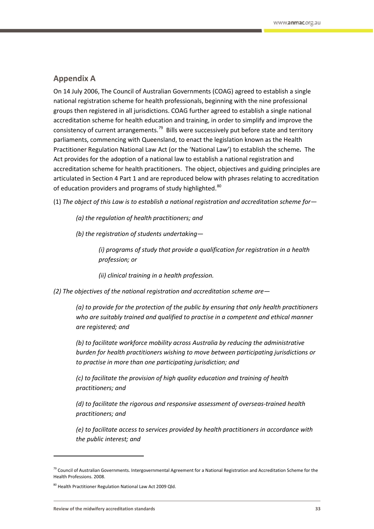# <span id="page-34-0"></span>**Appendix A**

On 14 July 2006, The Council of Australian Governments (COAG) agreed to establish a single national registration scheme for health professionals, beginning with the nine professional groups then registered in all jurisdictions. COAG further agreed to establish a single national accreditation scheme for health education and training, in order to simplify and improve the consistency of current arrangements.<sup>79</sup> Bills were successively put before state and territory parliaments, commencing with Queensland, to enact the legislation known as the Health Practitioner Regulation National Law Act (or the 'National Law') to establish the scheme*.* The Act provides for the adoption of a national law to establish a national registration and accreditation scheme for health practitioners. The object, objectives and guiding principles are articulated in Section 4 Part 1 and are reproduced below with phrases relating to accreditation of education providers and programs of study highlighted.<sup>[80](#page-34-2)</sup>

(1) *The object of this Law is to establish a national registration and accreditation scheme for—*

- *(a) the regulation of health practitioners; and*
- *(b) the registration of students undertaking—*

*(i) programs of study that provide a qualification for registration in a health profession; or*

*(ii) clinical training in a health profession.*

*(2) The objectives of the national registration and accreditation scheme are—*

*(a) to provide for the protection of the public by ensuring that only health practitioners who are suitably trained and qualified to practise in a competent and ethical manner are registered; and*

*(b) to facilitate workforce mobility across Australia by reducing the administrative burden for health practitioners wishing to move between participating jurisdictions or to practise in more than one participating jurisdiction; and*

*(c) to facilitate the provision of high quality education and training of health practitioners; and* 

*(d) to facilitate the rigorous and responsive assessment of overseas-trained health practitioners; and*

*(e) to facilitate access to services provided by health practitioners in accordance with the public interest; and*

<span id="page-34-1"></span><sup>&</sup>lt;sup>79</sup> Council of Australian Governments. Intergovernmental Agreement for a National Registration and Accreditation Scheme for the Health Professions. 2008.

<span id="page-34-2"></span> $80$  Health Practitioner Regulation National Law Act 2009 Qld.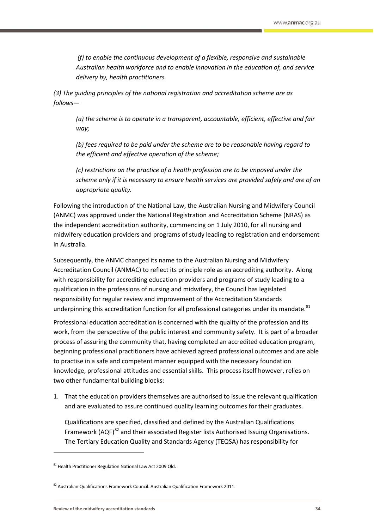*(f) to enable the continuous development of a flexible, responsive and sustainable Australian health workforce and to enable innovation in the education of, and service delivery by, health practitioners.*

*(3) The guiding principles of the national registration and accreditation scheme are as follows—*

*(a) the scheme is to operate in a transparent, accountable, efficient, effective and fair way;*

*(b) fees required to be paid under the scheme are to be reasonable having regard to the efficient and effective operation of the scheme;*

*(c) restrictions on the practice of a health profession are to be imposed under the scheme only if it is necessary to ensure health services are provided safely and are of an appropriate quality.*

Following the introduction of the National Law, the Australian Nursing and Midwifery Council (ANMC) was approved under the National Registration and Accreditation Scheme (NRAS) as the independent accreditation authority, commencing on 1 July 2010, for all nursing and midwifery education providers and programs of study leading to registration and endorsement in Australia.

Subsequently, the ANMC changed its name to the Australian Nursing and Midwifery Accreditation Council (ANMAC) to reflect its principle role as an accrediting authority. Along with responsibility for accrediting education providers and programs of study leading to a qualification in the professions of nursing and midwifery, the Council has legislated responsibility for regular review and improvement of the Accreditation Standards underpinning this accreditation function for all professional categories under its mandate.<sup>[81](#page-35-0)</sup>

Professional education accreditation is concerned with the quality of the profession and its work, from the perspective of the public interest and community safety. It is part of a broader process of assuring the community that, having completed an accredited education program, beginning professional practitioners have achieved agreed professional outcomes and are able to practise in a safe and competent manner equipped with the necessary foundation knowledge, professional attitudes and essential skills. This process itself however, relies on two other fundamental building blocks:

1. That the education providers themselves are authorised to issue the relevant qualification and are evaluated to assure continued quality learning outcomes for their graduates.

Qualifications are specified, classified and defined by the Australian Qualifications Framework ( $AQF$ <sup>[82](#page-35-1)</sup> and their associated Register lists Authorised Issuing Organisations. The Tertiary Education Quality and Standards Agency (TEQSA) has responsibility for

<span id="page-35-0"></span><sup>&</sup>lt;sup>81</sup> Health Practitioner Regulation National Law Act 2009 Qld.

<span id="page-35-1"></span><sup>82</sup> Australian Qualifications Framework Council. Australian Qualification Framework 2011.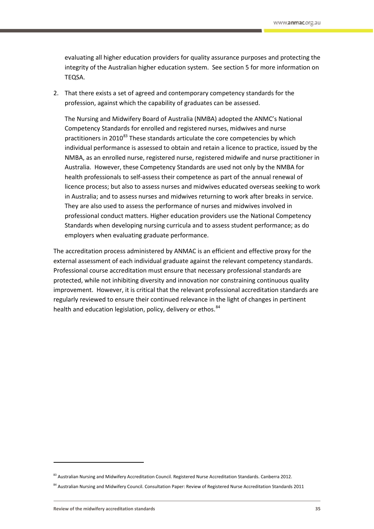evaluating all higher education providers for quality assurance purposes and protecting the integrity of the Australian higher education system. See section 5 for more information on TEQSA.

2. That there exists a set of agreed and contemporary competency standards for the profession, against which the capability of graduates can be assessed.

The Nursing and Midwifery Board of Australia (NMBA) adopted the ANMC's National Competency Standards for enrolled and registered nurses, midwives and nurse practitioners in 2010<sup>[83](#page-36-0)</sup> These standards articulate the core competencies by which individual performance is assessed to obtain and retain a licence to practice, issued by the NMBA, as an enrolled nurse, registered nurse, registered midwife and nurse practitioner in Australia. However, these Competency Standards are used not only by the NMBA for health professionals to self-assess their competence as part of the annual renewal of licence process; but also to assess nurses and midwives educated overseas seeking to work in Australia; and to assess nurses and midwives returning to work after breaks in service. They are also used to assess the performance of nurses and midwives involved in professional conduct matters. Higher education providers use the National Competency Standards when developing nursing curricula and to assess student performance; as do employers when evaluating graduate performance.

The accreditation process administered by ANMAC is an efficient and effective proxy for the external assessment of each individual graduate against the relevant competency standards. Professional course accreditation must ensure that necessary professional standards are protected, while not inhibiting diversity and innovation nor constraining continuous quality improvement. However, it is critical that the relevant professional accreditation standards are regularly reviewed to ensure their continued relevance in the light of changes in pertinent health and education legislation, policy, delivery or ethos.<sup>[84](#page-36-1)</sup>

<span id="page-36-0"></span><sup>&</sup>lt;sup>83</sup> Australian Nursing and Midwifery Accreditation Council. Registered Nurse Accreditation Standards. Canberra 2012.

<span id="page-36-1"></span><sup>84</sup> Australian Nursing and Midwifery Council. Consultation Paper: Review of Registered Nurse Accreditation Standards 2011